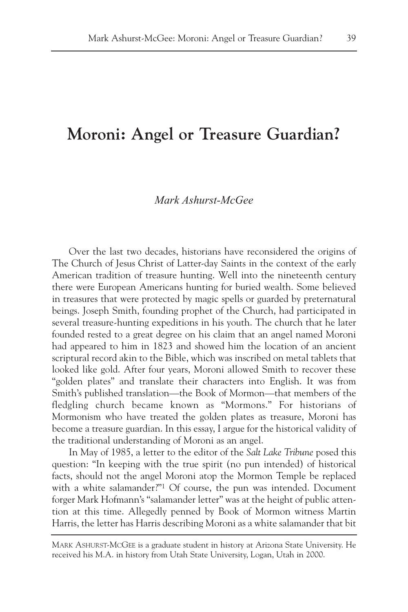# **Moroni: Angel or Treasure Guardian?**

## *Mark Ashurst-McGee*

Over the last two decades, historians have reconsidered the origins of The Church of Jesus Christ of Latter-day Saints in the context of the early American tradition of treasure hunting. Well into the nineteenth century there were European Americans hunting for buried wealth. Some believed in treasures that were protected by magic spells or guarded by preternatural beings. Joseph Smith, founding prophet of the Church, had participated in several treasure-hunting expeditions in his youth. The church that he later founded rested to a great degree on his claim that an angel named Moroni had appeared to him in 1823 and showed him the location of an ancient scriptural record akin to the Bible, which was inscribed on metal tablets that looked like gold. After four years, Moroni allowed Smith to recover these "golden plates" and translate their characters into English. It was from Smith's published translation—the Book of Mormon—that members of the fledgling church became known as "Mormons." For historians of Mormonism who have treated the golden plates as treasure, Moroni has become a treasure guardian. In this essay, I argue for the historical validity of the traditional understanding of Moroni as an angel.

In May of 1985, a letter to the editor of the *Salt Lake Tribune* posed this question: "In keeping with the true spirit (no pun intended) of historical facts, should not the angel Moroni atop the Mormon Temple be replaced with a white salamander?"<sup>1</sup> Of course, the pun was intended. Document forger Mark Hofmann's "salamander letter" was at the height of public attention at this time. Allegedly penned by Book of Mormon witness Martin Harris, the letter has Harris describing Moroni as a white salamander that bit

MARK ASHURST-MCGEE is a graduate student in history at Arizona State University. He received his M.A. in history from Utah State University, Logan, Utah in 2000.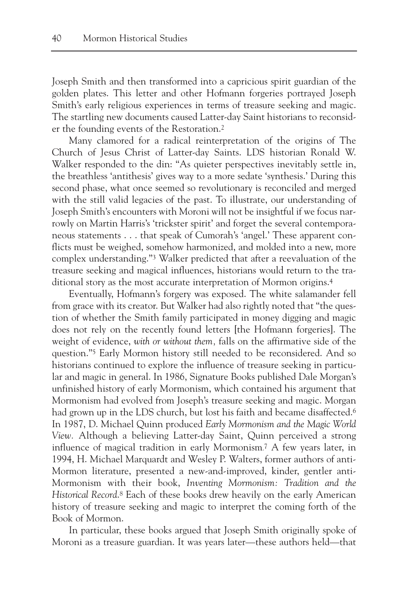Joseph Smith and then transformed into a capricious spirit guardian of the golden plates. This letter and other Hofmann forgeries portrayed Joseph Smith's early religious experiences in terms of treasure seeking and magic. The startling new documents caused Latter-day Saint historians to reconsider the founding events of the Restoration.2

Many clamored for a radical reinterpretation of the origins of The Church of Jesus Christ of Latter-day Saints. LDS historian Ronald W. Walker responded to the din: "As quieter perspectives inevitably settle in, the breathless 'antithesis' gives way to a more sedate 'synthesis.' During this second phase, what once seemed so revolutionary is reconciled and merged with the still valid legacies of the past. To illustrate, our understanding of Joseph Smith's encounters with Moroni will not be insightful if we focus narrowly on Martin Harris's 'trickster spirit' and forget the several contemporaneous statements . . . that speak of Cumorah's 'angel.' These apparent conflicts must be weighed, somehow harmonized, and molded into a new, more complex understanding."3 Walker predicted that after a reevaluation of the treasure seeking and magical influences, historians would return to the traditional story as the most accurate interpretation of Mormon origins.4

Eventually, Hofmann's forgery was exposed. The white salamander fell from grace with its creator. But Walker had also rightly noted that "the question of whether the Smith family participated in money digging and magic does not rely on the recently found letters [the Hofmann forgeries]. The weight of evidence, *with or without them,* falls on the affirmative side of the question."5 Early Mormon history still needed to be reconsidered. And so historians continued to explore the influence of treasure seeking in particular and magic in general. In 1986, Signature Books published Dale Morgan's unfinished history of early Mormonism, which contained his argument that Mormonism had evolved from Joseph's treasure seeking and magic. Morgan had grown up in the LDS church, but lost his faith and became disaffected.<sup>6</sup> In 1987, D. Michael Quinn produced *Early Mormonism and the Magic World View.* Although a believing Latter-day Saint, Quinn perceived a strong influence of magical tradition in early Mormonism. <sup>7</sup> A few years later, in 1994, H. Michael Marquardt and Wesley P. Walters, former authors of anti-Mormon literature, presented a new-and-improved, kinder, gentler anti-Mormonism with their book, *Inventing Mormonism: Tradition and the Historical Record*.8 Each of these books drew heavily on the early American history of treasure seeking and magic to interpret the coming forth of the Book of Mormon.

In particular, these books argued that Joseph Smith originally spoke of Moroni as a treasure guardian. It was years later—these authors held—that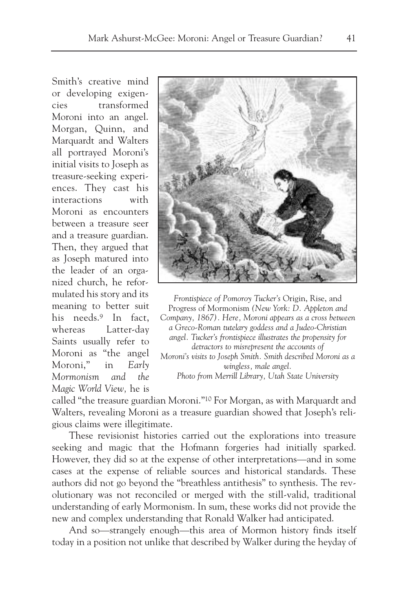Smith's creative mind or developing exigencies transformed Moroni into an angel. Morgan, Quinn, and Marquardt and Walters all portrayed Moroni's initial visits to Joseph as treasure-seeking experiences. They cast his interactions with Moroni as encounters between a treasure seer and a treasure guardian. Then, they argued that as Joseph matured into the leader of an organized church, he reformulated his story and its meaning to better suit his needs.9 In fact, whereas Latter-day Saints usually refer to Moroni as "the angel Moroni," in *Early Mormonism and the Magic World View,* he is



*Frontispiece of Pomoroy Tucker's* Origin, Rise, and Progress of Mormonism *(New York: D. Appleton and Company, 1867). Here, Moroni appears as a cross between a Greco-Roman tutelary goddess and a Judeo-Christian angel. Tucker's frontispiece illustrates the propensity for detractors to misrepresent the accounts of Moroni's visits to Joseph Smith. Smith described Moroni as a wingless, male angel. Photo from Merrill Library, Utah State University*

called "the treasure guardian Moroni."10 For Morgan, as with Marquardt and Walters, revealing Moroni as a treasure guardian showed that Joseph's religious claims were illegitimate.

These revisionist histories carried out the explorations into treasure seeking and magic that the Hofmann forgeries had initially sparked. However, they did so at the expense of other interpretations—and in some cases at the expense of reliable sources and historical standards. These authors did not go beyond the "breathless antithesis" to synthesis. The revolutionary was not reconciled or merged with the still-valid, traditional understanding of early Mormonism. In sum, these works did not provide the new and complex understanding that Ronald Walker had anticipated.

And so—strangely enough—this area of Mormon history finds itself today in a position not unlike that described by Walker during the heyday of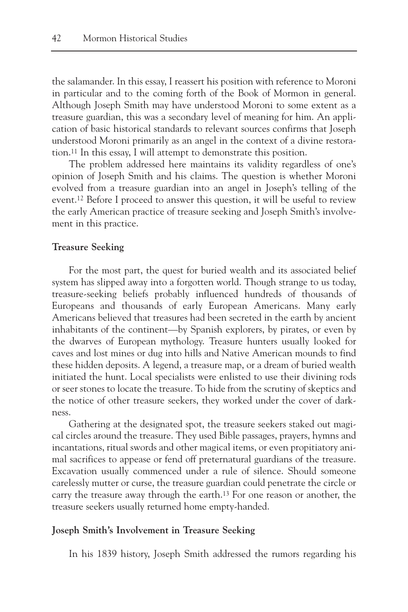the salamander. In this essay, I reassert his position with reference to Moroni in particular and to the coming forth of the Book of Mormon in general. Although Joseph Smith may have understood Moroni to some extent as a treasure guardian, this was a secondary level of meaning for him. An application of basic historical standards to relevant sources confirms that Joseph understood Moroni primarily as an angel in the context of a divine restoration.11 In this essay, I will attempt to demonstrate this position.

The problem addressed here maintains its validity regardless of one's opinion of Joseph Smith and his claims. The question is whether Moroni evolved from a treasure guardian into an angel in Joseph's telling of the event.12 Before I proceed to answer this question, it will be useful to review the early American practice of treasure seeking and Joseph Smith's involvement in this practice.

#### **Treasure Seeking**

For the most part, the quest for buried wealth and its associated belief system has slipped away into a forgotten world. Though strange to us today, treasure-seeking beliefs probably influenced hundreds of thousands of Europeans and thousands of early European Americans. Many early Americans believed that treasures had been secreted in the earth by ancient inhabitants of the continent—by Spanish explorers, by pirates, or even by the dwarves of European mythology. Treasure hunters usually looked for caves and lost mines or dug into hills and Native American mounds to find these hidden deposits. A legend, a treasure map, or a dream of buried wealth initiated the hunt. Local specialists were enlisted to use their divining rods or seer stones to locate the treasure. To hide from the scrutiny of skeptics and the notice of other treasure seekers, they worked under the cover of darkness.

Gathering at the designated spot, the treasure seekers staked out magical circles around the treasure. They used Bible passages, prayers, hymns and incantations, ritual swords and other magical items, or even propitiatory animal sacrifices to appease or fend off preternatural guardians of the treasure. Excavation usually commenced under a rule of silence. Should someone carelessly mutter or curse, the treasure guardian could penetrate the circle or carry the treasure away through the earth.13 For one reason or another, the treasure seekers usually returned home empty-handed.

#### **Joseph Smith's Involvement in Treasure Seeking**

In his 1839 history, Joseph Smith addressed the rumors regarding his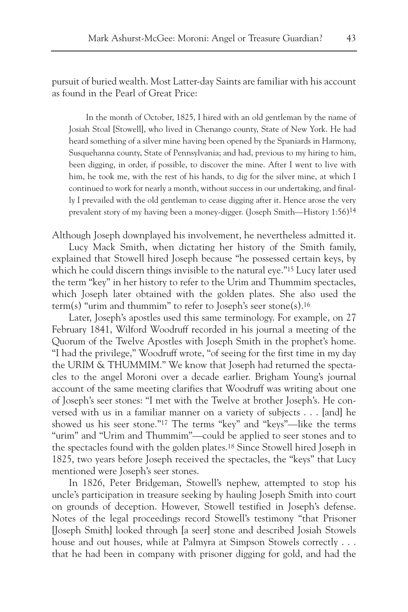pursuit of buried wealth. Most Latter-day Saints are familiar with his account as found in the Pearl of Great Price:

In the month of October, 1825, I hired with an old gentleman by the name of Josiah Stoal [Stowell], who lived in Chenango county, State of New York. He had heard something of a silver mine having been opened by the Spaniards in Harmony, Susquehanna county, State of Pennsylvania; and had, previous to my hiring to him, been digging, in order, if possible, to discover the mine. After I went to live with him, he took me, with the rest of his hands, to dig for the silver mine, at which I continued to work for nearly a month, without success in our undertaking, and finally I prevailed with the old gentleman to cease digging after it. Hence arose the very prevalent story of my having been a money-digger. (Joseph Smith—History 1:56)14

Although Joseph downplayed his involvement, he nevertheless admitted it.

Lucy Mack Smith, when dictating her history of the Smith family, explained that Stowell hired Joseph because "he possessed certain keys, by which he could discern things invisible to the natural eye."15 Lucy later used the term "key" in her history to refer to the Urim and Thummim spectacles, which Joseph later obtained with the golden plates. She also used the term(s) "urim and thummim" to refer to Joseph's seer stone(s).<sup>16</sup>

Later, Joseph's apostles used this same terminology. For example, on 27 February 1841, Wilford Woodruff recorded in his journal a meeting of the Quorum of the Twelve Apostles with Joseph Smith in the prophet's home. "I had the privilege," Woodruff wrote, "of seeing for the first time in my day the URIM & THUMMIM." We know that Joseph had returned the spectacles to the angel Moroni over a decade earlier. Brigham Young's journal account of the same meeting clarifies that Woodruff was writing about one of Joseph's seer stones: "I met with the Twelve at brother Joseph's. He conversed with us in a familiar manner on a variety of subjects . . . [and] he showed us his seer stone."17 The terms "key" and "keys"—like the terms "urim" and "Urim and Thummim"—could be applied to seer stones and to the spectacles found with the golden plates.18 Since Stowell hired Joseph in 1825, two years before Joseph received the spectacles, the "keys" that Lucy mentioned were Joseph's seer stones.

In 1826, Peter Bridgeman, Stowell's nephew, attempted to stop his uncle's participation in treasure seeking by hauling Joseph Smith into court on grounds of deception. However, Stowell testified in Joseph's defense. Notes of the legal proceedings record Stowell's testimony "that Prisoner [Joseph Smith] looked through [a seer] stone and described Josiah Stowels house and out houses, while at Palmyra at Simpson Stowels correctly . . . that he had been in company with prisoner digging for gold, and had the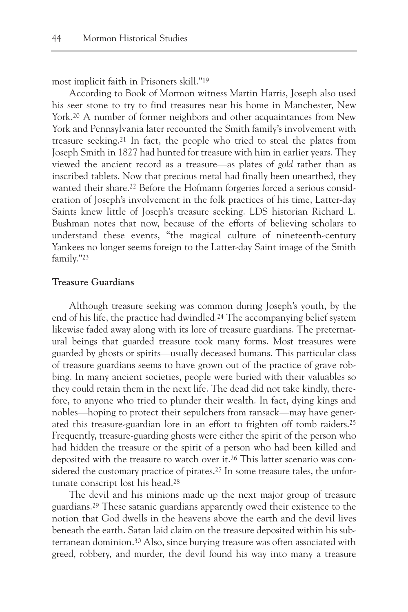most implicit faith in Prisoners skill."19

According to Book of Mormon witness Martin Harris, Joseph also used his seer stone to try to find treasures near his home in Manchester, New York.<sup>20</sup> A number of former neighbors and other acquaintances from New York and Pennsylvania later recounted the Smith family's involvement with treasure seeking.21 In fact, the people who tried to steal the plates from Joseph Smith in 1827 had hunted for treasure with him in earlier years. They viewed the ancient record as a treasure—as plates of *gold* rather than as inscribed tablets. Now that precious metal had finally been unearthed, they wanted their share.<sup>22</sup> Before the Hofmann forgeries forced a serious consideration of Joseph's involvement in the folk practices of his time, Latter-day Saints knew little of Joseph's treasure seeking. LDS historian Richard L. Bushman notes that now, because of the efforts of believing scholars to understand these events, "the magical culture of nineteenth-century Yankees no longer seems foreign to the Latter-day Saint image of the Smith family."23

## **Treasure Guardians**

Although treasure seeking was common during Joseph's youth, by the end of his life, the practice had dwindled.24 The accompanying belief system likewise faded away along with its lore of treasure guardians. The preternatural beings that guarded treasure took many forms. Most treasures were guarded by ghosts or spirits—usually deceased humans. This particular class of treasure guardians seems to have grown out of the practice of grave robbing. In many ancient societies, people were buried with their valuables so they could retain them in the next life. The dead did not take kindly, therefore, to anyone who tried to plunder their wealth. In fact, dying kings and nobles—hoping to protect their sepulchers from ransack—may have generated this treasure-guardian lore in an effort to frighten off tomb raiders.25 Frequently, treasure-guarding ghosts were either the spirit of the person who had hidden the treasure or the spirit of a person who had been killed and deposited with the treasure to watch over it.26 This latter scenario was considered the customary practice of pirates.<sup>27</sup> In some treasure tales, the unfortunate conscript lost his head.28

The devil and his minions made up the next major group of treasure guardians.29 These satanic guardians apparently owed their existence to the notion that God dwells in the heavens above the earth and the devil lives beneath the earth. Satan laid claim on the treasure deposited within his subterranean dominion.30 Also, since burying treasure was often associated with greed, robbery, and murder, the devil found his way into many a treasure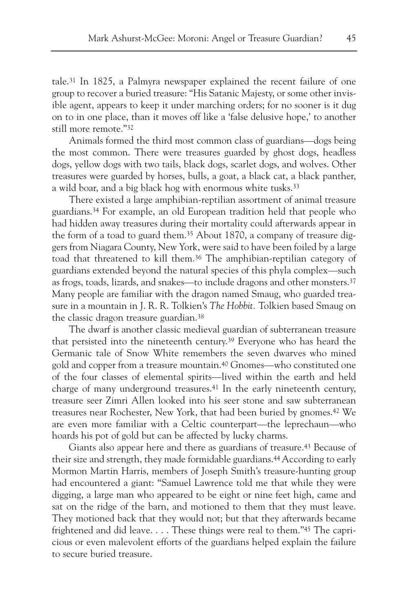tale.31 In 1825, a Palmyra newspaper explained the recent failure of one group to recover a buried treasure: "His Satanic Majesty, or some other invisible agent, appears to keep it under marching orders; for no sooner is it dug on to in one place, than it moves off like a 'false delusive hope,' to another still more remote."32

Animals formed the third most common class of guardians—dogs being the most common. There were treasures guarded by ghost dogs, headless dogs, yellow dogs with two tails, black dogs, scarlet dogs, and wolves. Other treasures were guarded by horses, bulls, a goat, a black cat, a black panther, a wild boar, and a big black hog with enormous white tusks.<sup>33</sup>

There existed a large amphibian-reptilian assortment of animal treasure guardians.34 For example, an old European tradition held that people who had hidden away treasures during their mortality could afterwards appear in the form of a toad to guard them.35 About 1870, a company of treasure diggers from Niagara County, New York, were said to have been foiled by a large toad that threatened to kill them.36 The amphibian-reptilian category of guardians extended beyond the natural species of this phyla complex—such as frogs, toads, lizards, and snakes—to include dragons and other monsters.37 Many people are familiar with the dragon named Smaug, who guarded treasure in a mountain in J. R. R. Tolkien's *The Hobbit.* Tolkien based Smaug on the classic dragon treasure guardian.38

The dwarf is another classic medieval guardian of subterranean treasure that persisted into the nineteenth century.39 Everyone who has heard the Germanic tale of Snow White remembers the seven dwarves who mined gold and copper from a treasure mountain.40 Gnomes—who constituted one of the four classes of elemental spirits—lived within the earth and held charge of many underground treasures.41 In the early nineteenth century, treasure seer Zimri Allen looked into his seer stone and saw subterranean treasures near Rochester, New York, that had been buried by gnomes.42 We are even more familiar with a Celtic counterpart—the leprechaun—who hoards his pot of gold but can be affected by lucky charms.

Giants also appear here and there as guardians of treasure.43 Because of their size and strength, they made formidable guardians.44According to early Mormon Martin Harris, members of Joseph Smith's treasure-hunting group had encountered a giant: "Samuel Lawrence told me that while they were digging, a large man who appeared to be eight or nine feet high, came and sat on the ridge of the barn, and motioned to them that they must leave. They motioned back that they would not; but that they afterwards became frightened and did leave. . . . These things were real to them."45 The capricious or even malevolent efforts of the guardians helped explain the failure to secure buried treasure.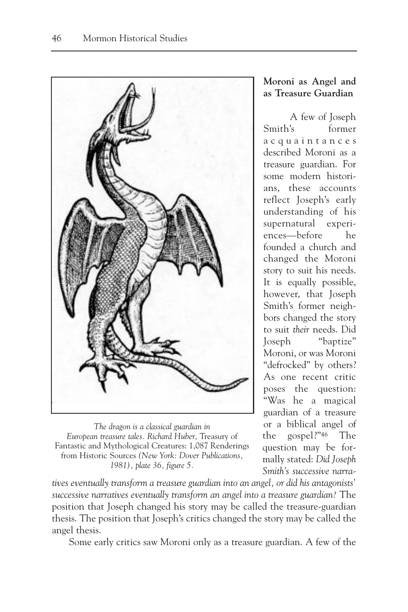

*The dragon is a classical guardian in European treasure tales. Richard Huber,* Treasury of Fantastic and Mythological Creatures: 1,087 Renderings from Historic Sources *(New York: Dover Publications, 1981), plate 36, figure 5.*

*tives eventually transform a treasure guardian into an angel, or did his antagonists' successive narratives eventually transform an angel into a treasure guardian?* The position that Joseph changed his story may be called the treasure-guardian thesis. The position that Joseph's critics changed the story may be called the angel thesis.

Some early critics saw Moroni only as a treasure guardian. A few of the

# **Moroni as Angel and as Treasure Guardian**

A few of Joseph Smith's former acquaintances described Moroni as a treasure guardian. For some modern historians, these accounts reflect Joseph's early understanding of his supernatural experiences—before he founded a church and changed the Moroni story to suit his needs. It is equally possible, however, that Joseph Smith's former neighbors changed the story to suit *their* needs. Did Joseph "baptize" Moroni, or was Moroni "defrocked" by others? As one recent critic poses the question: "Was he a magical guardian of a treasure or a biblical angel of the gospel?"46 The question may be formally stated: *Did Joseph Smith's successive narra-*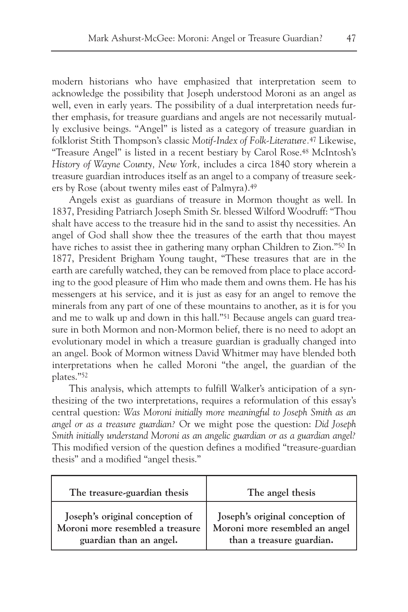modern historians who have emphasized that interpretation seem to acknowledge the possibility that Joseph understood Moroni as an angel as well, even in early years. The possibility of a dual interpretation needs further emphasis, for treasure guardians and angels are not necessarily mutually exclusive beings. "Angel" is listed as a category of treasure guardian in folklorist Stith Thompson's classic *Motif-Index of Folk-Literature.*<sup>47</sup> Likewise, "Treasure Angel" is listed in a recent bestiary by Carol Rose.48 McIntosh's *History of Wayne County, New York,* includes a circa 1840 story wherein a treasure guardian introduces itself as an angel to a company of treasure seekers by Rose (about twenty miles east of Palmyra).49

Angels exist as guardians of treasure in Mormon thought as well. In 1837, Presiding Patriarch Joseph Smith Sr. blessed Wilford Woodruff: "Thou shalt have access to the treasure hid in the sand to assist thy necessities. An angel of God shall show thee the treasures of the earth that thou mayest have riches to assist thee in gathering many orphan Children to Zion."50 In 1877, President Brigham Young taught, "These treasures that are in the earth are carefully watched, they can be removed from place to place according to the good pleasure of Him who made them and owns them. He has his messengers at his service, and it is just as easy for an angel to remove the minerals from any part of one of these mountains to another, as it is for you and me to walk up and down in this hall."51 Because angels can guard treasure in both Mormon and non-Mormon belief, there is no need to adopt an evolutionary model in which a treasure guardian is gradually changed into an angel. Book of Mormon witness David Whitmer may have blended both interpretations when he called Moroni "the angel, the guardian of the plates."52

This analysis, which attempts to fulfill Walker's anticipation of a synthesizing of the two interpretations, requires a reformulation of this essay's central question: *Was Moroni initially more meaningful to Joseph Smith as an angel or as a treasure guardian?* Or we might pose the question: *Did Joseph Smith initially understand Moroni as an angelic guardian or as a guardian angel?* This modified version of the question defines a modified "treasure-guardian thesis" and a modified "angel thesis."

| The treasure-guardian thesis     | The angel thesis                |
|----------------------------------|---------------------------------|
| Joseph's original conception of  | Joseph's original conception of |
| Moroni more resembled a treasure | Moroni more resembled an angel  |
| guardian than an angel.          | than a treasure guardian.       |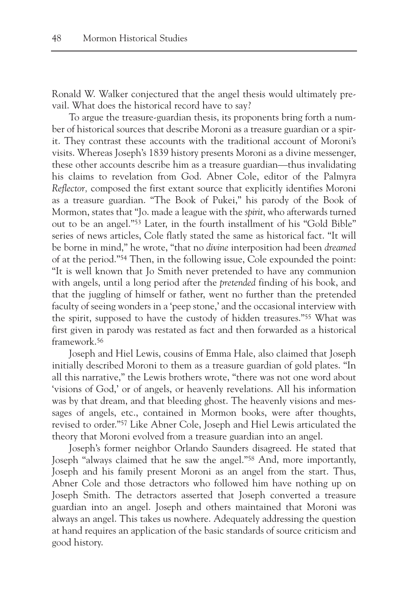Ronald W. Walker conjectured that the angel thesis would ultimately prevail. What does the historical record have to say?

To argue the treasure-guardian thesis, its proponents bring forth a number of historical sources that describe Moroni as a treasure guardian or a spirit. They contrast these accounts with the traditional account of Moroni's visits. Whereas Joseph's 1839 history presents Moroni as a divine messenger, these other accounts describe him as a treasure guardian—thus invalidating his claims to revelation from God. Abner Cole, editor of the Palmyra *Reflector,* composed the first extant source that explicitly identifies Moroni as a treasure guardian. "The Book of Pukei," his parody of the Book of Mormon, states that "Jo. made a league with the *spirit*, who afterwards turned out to be an angel."53 Later, in the fourth installment of his "Gold Bible" series of news articles, Cole flatly stated the same as historical fact. "It will be borne in mind," he wrote, "that no *divine* interposition had been *dreamed* of at the period."54 Then, in the following issue, Cole expounded the point: "It is well known that Jo Smith never pretended to have any communion with angels, until a long period after the *pretended* finding of his book, and that the juggling of himself or father, went no further than the pretended faculty of seeing wonders in a 'peep stone,' and the occasional interview with the spirit, supposed to have the custody of hidden treasures."55 What was first given in parody was restated as fact and then forwarded as a historical framework.56

Joseph and Hiel Lewis, cousins of Emma Hale, also claimed that Joseph initially described Moroni to them as a treasure guardian of gold plates. "In all this narrative," the Lewis brothers wrote, "there was not one word about 'visions of God,' or of angels, or heavenly revelations. All his information was by that dream, and that bleeding ghost. The heavenly visions and messages of angels, etc., contained in Mormon books, were after thoughts, revised to order."57 Like Abner Cole, Joseph and Hiel Lewis articulated the theory that Moroni evolved from a treasure guardian into an angel.

Joseph's former neighbor Orlando Saunders disagreed. He stated that Joseph "always claimed that he saw the angel."58 And, more importantly, Joseph and his family present Moroni as an angel from the start. Thus, Abner Cole and those detractors who followed him have nothing up on Joseph Smith. The detractors asserted that Joseph converted a treasure guardian into an angel. Joseph and others maintained that Moroni was always an angel. This takes us nowhere. Adequately addressing the question at hand requires an application of the basic standards of source criticism and good history.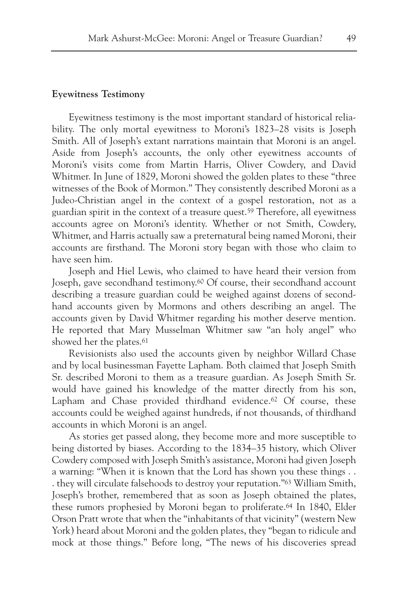#### **Eyewitness Testimony**

Eyewitness testimony is the most important standard of historical reliability. The only mortal eyewitness to Moroni's 1823–28 visits is Joseph Smith. All of Joseph's extant narrations maintain that Moroni is an angel. Aside from Joseph's accounts, the only other eyewitness accounts of Moroni's visits come from Martin Harris, Oliver Cowdery, and David Whitmer. In June of 1829, Moroni showed the golden plates to these "three witnesses of the Book of Mormon." They consistently described Moroni as a Judeo-Christian angel in the context of a gospel restoration, not as a guardian spirit in the context of a treasure quest.59 Therefore, all eyewitness accounts agree on Moroni's identity. Whether or not Smith, Cowdery, Whitmer, and Harris actually saw a preternatural being named Moroni, their accounts are firsthand. The Moroni story began with those who claim to have seen him.

Joseph and Hiel Lewis, who claimed to have heard their version from Joseph, gave secondhand testimony.<sup>60</sup> Of course, their secondhand account describing a treasure guardian could be weighed against dozens of secondhand accounts given by Mormons and others describing an angel. The accounts given by David Whitmer regarding his mother deserve mention. He reported that Mary Musselman Whitmer saw "an holy angel" who showed her the plates.<sup>61</sup>

Revisionists also used the accounts given by neighbor Willard Chase and by local businessman Fayette Lapham. Both claimed that Joseph Smith Sr. described Moroni to them as a treasure guardian. As Joseph Smith Sr. would have gained his knowledge of the matter directly from his son, Lapham and Chase provided thirdhand evidence.<sup>62</sup> Of course, these accounts could be weighed against hundreds, if not thousands, of thirdhand accounts in which Moroni is an angel.

As stories get passed along, they become more and more susceptible to being distorted by biases. According to the 1834–35 history, which Oliver Cowdery composed with Joseph Smith's assistance, Moroni had given Joseph a warning: "When it is known that the Lord has shown you these things . . . they will circulate falsehoods to destroy your reputation."63 William Smith, Joseph's brother, remembered that as soon as Joseph obtained the plates, these rumors prophesied by Moroni began to proliferate.64 In 1840, Elder Orson Pratt wrote that when the "inhabitants of that vicinity" (western New York) heard about Moroni and the golden plates, they "began to ridicule and mock at those things." Before long, "The news of his discoveries spread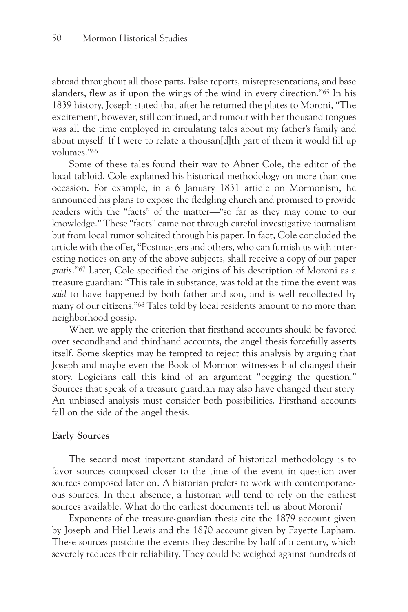abroad throughout all those parts. False reports, misrepresentations, and base slanders, flew as if upon the wings of the wind in every direction."65 In his 1839 history, Joseph stated that after he returned the plates to Moroni, "The excitement, however, still continued, and rumour with her thousand tongues was all the time employed in circulating tales about my father's family and about myself. If I were to relate a thousan[d]th part of them it would fill up volumes."66

Some of these tales found their way to Abner Cole, the editor of the local tabloid. Cole explained his historical methodology on more than one occasion. For example, in a 6 January 1831 article on Mormonism, he announced his plans to expose the fledgling church and promised to provide readers with the "facts" of the matter—"so far as they may come to our knowledge." These "facts" came not through careful investigative journalism but from local rumor solicited through his paper. In fact, Cole concluded the article with the offer, "Postmasters and others, who can furnish us with interesting notices on any of the above subjects, shall receive a copy of our paper *gratis.*"67 Later, Cole specified the origins of his description of Moroni as a treasure guardian: "This tale in substance, was told at the time the event was *said* to have happened by both father and son, and is well recollected by many of our citizens."68 Tales told by local residents amount to no more than neighborhood gossip.

When we apply the criterion that firsthand accounts should be favored over secondhand and thirdhand accounts, the angel thesis forcefully asserts itself. Some skeptics may be tempted to reject this analysis by arguing that Joseph and maybe even the Book of Mormon witnesses had changed their story. Logicians call this kind of an argument "begging the question." Sources that speak of a treasure guardian may also have changed their story. An unbiased analysis must consider both possibilities. Firsthand accounts fall on the side of the angel thesis.

#### **Early Sources**

The second most important standard of historical methodology is to favor sources composed closer to the time of the event in question over sources composed later on. A historian prefers to work with contemporaneous sources. In their absence, a historian will tend to rely on the earliest sources available. What do the earliest documents tell us about Moroni?

Exponents of the treasure-guardian thesis cite the 1879 account given by Joseph and Hiel Lewis and the 1870 account given by Fayette Lapham. These sources postdate the events they describe by half of a century, which severely reduces their reliability. They could be weighed against hundreds of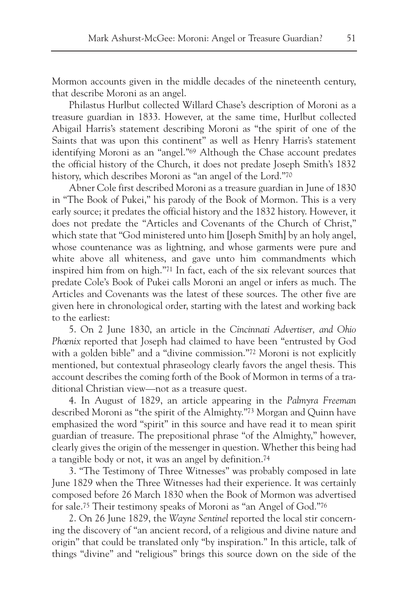Mormon accounts given in the middle decades of the nineteenth century, that describe Moroni as an angel.

Philastus Hurlbut collected Willard Chase's description of Moroni as a treasure guardian in 1833. However, at the same time, Hurlbut collected Abigail Harris's statement describing Moroni as "the spirit of one of the Saints that was upon this continent" as well as Henry Harris's statement identifying Moroni as an "angel."69 Although the Chase account predates the official history of the Church, it does not predate Joseph Smith's 1832 history, which describes Moroni as "an angel of the Lord."70

Abner Cole first described Moroni as a treasure guardian in June of 1830 in "The Book of Pukei," his parody of the Book of Mormon. This is a very early source; it predates the official history and the 1832 history. However, it does not predate the "Articles and Covenants of the Church of Christ," which state that "God ministered unto him [Joseph Smith] by an holy angel, whose countenance was as lightning, and whose garments were pure and white above all whiteness, and gave unto him commandments which inspired him from on high."71 In fact, each of the six relevant sources that predate Cole's Book of Pukei calls Moroni an angel or infers as much. The Articles and Covenants was the latest of these sources. The other five are given here in chronological order, starting with the latest and working back to the earliest:

5. On 2 June 1830, an article in the *Cincinnati Advertiser, and Ohio Phœnix* reported that Joseph had claimed to have been "entrusted by God with a golden bible" and a "divine commission."<sup>72</sup> Moroni is not explicitly mentioned, but contextual phraseology clearly favors the angel thesis. This account describes the coming forth of the Book of Mormon in terms of a traditional Christian view—not as a treasure quest.

4. In August of 1829, an article appearing in the *Palmyra Freeman* described Moroni as "the spirit of the Almighty."73 Morgan and Quinn have emphasized the word "spirit" in this source and have read it to mean spirit guardian of treasure. The prepositional phrase "of the Almighty," however, clearly gives the origin of the messenger in question. Whether this being had a tangible body or not, it was an angel by definition.74

3. "The Testimony of Three Witnesses" was probably composed in late June 1829 when the Three Witnesses had their experience. It was certainly composed before 26 March 1830 when the Book of Mormon was advertised for sale.75 Their testimony speaks of Moroni as "an Angel of God."76

2. On 26 June 1829, the *Wayne Sentinel* reported the local stir concerning the discovery of "an ancient record, of a religious and divine nature and origin" that could be translated only "by inspiration." In this article, talk of things "divine" and "religious" brings this source down on the side of the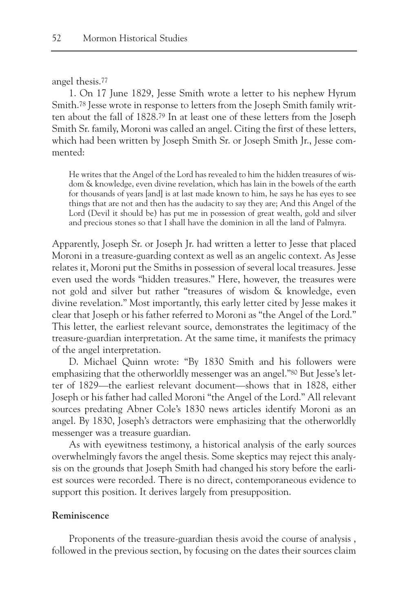#### angel thesis.77

1. On 17 June 1829, Jesse Smith wrote a letter to his nephew Hyrum Smith.<sup>78</sup> Jesse wrote in response to letters from the Joseph Smith family written about the fall of 1828.79 In at least one of these letters from the Joseph Smith Sr. family, Moroni was called an angel. Citing the first of these letters, which had been written by Joseph Smith Sr. or Joseph Smith Jr., Jesse commented:

He writes that the Angel of the Lord has revealed to him the hidden treasures of wisdom & knowledge, even divine revelation, which has lain in the bowels of the earth for thousands of years [and] is at last made known to him, he says he has eyes to see things that are not and then has the audacity to say they are; And this Angel of the Lord (Devil it should be) has put me in possession of great wealth, gold and silver and precious stones so that I shall have the dominion in all the land of Palmyra.

Apparently, Joseph Sr. or Joseph Jr. had written a letter to Jesse that placed Moroni in a treasure-guarding context as well as an angelic context. As Jesse relates it, Moroni put the Smiths in possession of several local treasures. Jesse even used the words "hidden treasures." Here, however, the treasures were not gold and silver but rather "treasures of wisdom & knowledge, even divine revelation." Most importantly, this early letter cited by Jesse makes it clear that Joseph or his father referred to Moroni as "the Angel of the Lord." This letter, the earliest relevant source, demonstrates the legitimacy of the treasure-guardian interpretation. At the same time, it manifests the primacy of the angel interpretation.

D. Michael Quinn wrote: "By 1830 Smith and his followers were emphasizing that the otherworldly messenger was an angel."80 But Jesse's letter of 1829—the earliest relevant document—shows that in 1828, either Joseph or his father had called Moroni "the Angel of the Lord." All relevant sources predating Abner Cole's 1830 news articles identify Moroni as an angel. By 1830, Joseph's detractors were emphasizing that the otherworldly messenger was a treasure guardian.

As with eyewitness testimony, a historical analysis of the early sources overwhelmingly favors the angel thesis. Some skeptics may reject this analysis on the grounds that Joseph Smith had changed his story before the earliest sources were recorded. There is no direct, contemporaneous evidence to support this position. It derives largely from presupposition.

### **Reminiscence**

Proponents of the treasure-guardian thesis avoid the course of analysis , followed in the previous section, by focusing on the dates their sources claim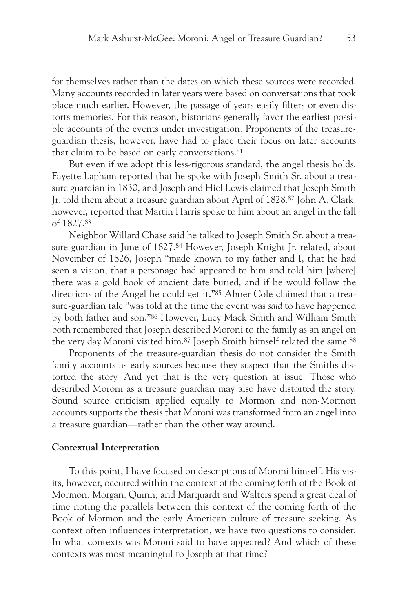for themselves rather than the dates on which these sources were recorded. Many accounts recorded in later years were based on conversations that took place much earlier. However, the passage of years easily filters or even distorts memories. For this reason, historians generally favor the earliest possible accounts of the events under investigation. Proponents of the treasureguardian thesis, however, have had to place their focus on later accounts that claim to be based on early conversations.81

But even if we adopt this less-rigorous standard, the angel thesis holds. Fayette Lapham reported that he spoke with Joseph Smith Sr. about a treasure guardian in 1830, and Joseph and Hiel Lewis claimed that Joseph Smith Jr. told them about a treasure guardian about April of 1828.82 John A. Clark, however, reported that Martin Harris spoke to him about an angel in the fall of 1827.83

Neighbor Willard Chase said he talked to Joseph Smith Sr. about a treasure guardian in June of 1827.84 However, Joseph Knight Jr. related, about November of 1826, Joseph "made known to my father and I, that he had seen a vision, that a personage had appeared to him and told him [where] there was a gold book of ancient date buried, and if he would follow the directions of the Angel he could get it."<sup>85</sup> Abner Cole claimed that a treasure-guardian tale "was told at the time the event was *said* to have happened by both father and son."86 However, Lucy Mack Smith and William Smith both remembered that Joseph described Moroni to the family as an angel on the very day Moroni visited him.<sup>87</sup> Joseph Smith himself related the same.<sup>88</sup>

Proponents of the treasure-guardian thesis do not consider the Smith family accounts as early sources because they suspect that the Smiths distorted the story. And yet that is the very question at issue. Those who described Moroni as a treasure guardian may also have distorted the story. Sound source criticism applied equally to Mormon and non-Mormon accounts supports the thesis that Moroni was transformed from an angel into a treasure guardian—rather than the other way around.

#### **Contextual Interpretation**

To this point, I have focused on descriptions of Moroni himself. His visits, however, occurred within the context of the coming forth of the Book of Mormon. Morgan, Quinn, and Marquardt and Walters spend a great deal of time noting the parallels between this context of the coming forth of the Book of Mormon and the early American culture of treasure seeking. As context often influences interpretation, we have two questions to consider: In what contexts was Moroni said to have appeared? And which of these contexts was most meaningful to Joseph at that time?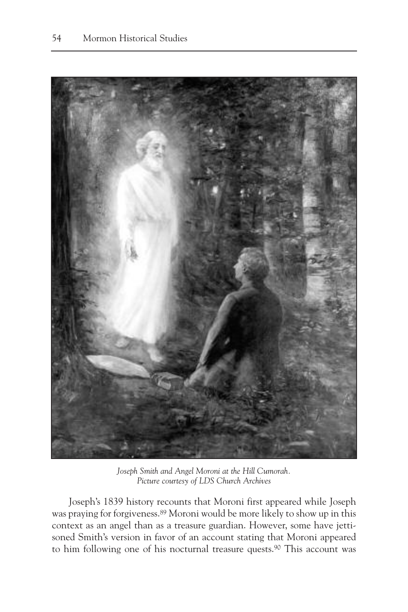

*Joseph Smith and Angel Moroni at the Hill Cumorah. Picture courtesy of LDS Church Archives*

Joseph's 1839 history recounts that Moroni first appeared while Joseph was praying for forgiveness.89 Moroni would be more likely to show up in this context as an angel than as a treasure guardian. However, some have jettisoned Smith's version in favor of an account stating that Moroni appeared to him following one of his nocturnal treasure quests.90 This account was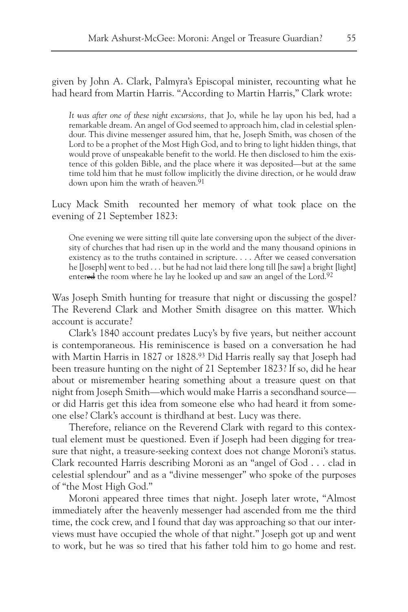given by John A. Clark, Palmyra's Episcopal minister, recounting what he had heard from Martin Harris. "According to Martin Harris," Clark wrote:

*It was after one of these night excursions,* that Jo, while he lay upon his bed, had a remarkable dream. An angel of God seemed to approach him, clad in celestial splendour. This divine messenger assured him, that he, Joseph Smith, was chosen of the Lord to be a prophet of the Most High God, and to bring to light hidden things, that would prove of unspeakable benefit to the world. He then disclosed to him the existence of this golden Bible, and the place where it was deposited—but at the same time told him that he must follow implicitly the divine direction, or he would draw down upon him the wrath of heaven.<sup>91</sup>

Lucy Mack Smith recounted her memory of what took place on the evening of 21 September 1823:

One evening we were sitting till quite late conversing upon the subject of the diversity of churches that had risen up in the world and the many thousand opinions in existency as to the truths contained in scripture. . . . After we ceased conversation he [Joseph] went to bed . . . but he had not laid there long till [he saw] a bright [light] entered the room where he lay he looked up and saw an angel of the Lord.<sup>92</sup>

Was Joseph Smith hunting for treasure that night or discussing the gospel? The Reverend Clark and Mother Smith disagree on this matter. Which account is accurate?

Clark's 1840 account predates Lucy's by five years, but neither account is contemporaneous. His reminiscence is based on a conversation he had with Martin Harris in 1827 or 1828.93 Did Harris really say that Joseph had been treasure hunting on the night of 21 September 1823? If so, did he hear about or misremember hearing something about a treasure quest on that night from Joseph Smith—which would make Harris a secondhand source or did Harris get this idea from someone else who had heard it from someone else? Clark's account is thirdhand at best. Lucy was there.

Therefore, reliance on the Reverend Clark with regard to this contextual element must be questioned. Even if Joseph had been digging for treasure that night, a treasure-seeking context does not change Moroni's status. Clark recounted Harris describing Moroni as an "angel of God . . . clad in celestial splendour" and as a "divine messenger" who spoke of the purposes of "the Most High God."

Moroni appeared three times that night. Joseph later wrote, "Almost immediately after the heavenly messenger had ascended from me the third time, the cock crew, and I found that day was approaching so that our interviews must have occupied the whole of that night." Joseph got up and went to work, but he was so tired that his father told him to go home and rest.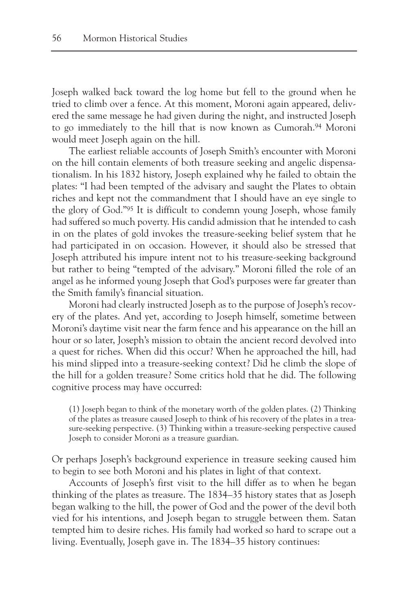Joseph walked back toward the log home but fell to the ground when he tried to climb over a fence. At this moment, Moroni again appeared, delivered the same message he had given during the night, and instructed Joseph to go immediately to the hill that is now known as Cumorah.94 Moroni would meet Joseph again on the hill.

The earliest reliable accounts of Joseph Smith's encounter with Moroni on the hill contain elements of both treasure seeking and angelic dispensationalism. In his 1832 history, Joseph explained why he failed to obtain the plates: "I had been tempted of the advisary and saught the Plates to obtain riches and kept not the commandment that I should have an eye single to the glory of God."95 It is difficult to condemn young Joseph, whose family had suffered so much poverty. His candid admission that he intended to cash in on the plates of gold invokes the treasure-seeking belief system that he had participated in on occasion. However, it should also be stressed that Joseph attributed his impure intent not to his treasure-seeking background but rather to being "tempted of the advisary." Moroni filled the role of an angel as he informed young Joseph that God's purposes were far greater than the Smith family's financial situation.

Moroni had clearly instructed Joseph as to the purpose of Joseph's recovery of the plates. And yet, according to Joseph himself, sometime between Moroni's daytime visit near the farm fence and his appearance on the hill an hour or so later, Joseph's mission to obtain the ancient record devolved into a quest for riches. When did this occur? When he approached the hill, had his mind slipped into a treasure-seeking context? Did he climb the slope of the hill for a golden treasure? Some critics hold that he did. The following cognitive process may have occurred:

(1) Joseph began to think of the monetary worth of the golden plates. (2) Thinking of the plates as treasure caused Joseph to think of his recovery of the plates in a treasure-seeking perspective. (3) Thinking within a treasure-seeking perspective caused Joseph to consider Moroni as a treasure guardian.

Or perhaps Joseph's background experience in treasure seeking caused him to begin to see both Moroni and his plates in light of that context.

Accounts of Joseph's first visit to the hill differ as to when he began thinking of the plates as treasure. The 1834–35 history states that as Joseph began walking to the hill, the power of God and the power of the devil both vied for his intentions, and Joseph began to struggle between them. Satan tempted him to desire riches. His family had worked so hard to scrape out a living. Eventually, Joseph gave in. The 1834–35 history continues: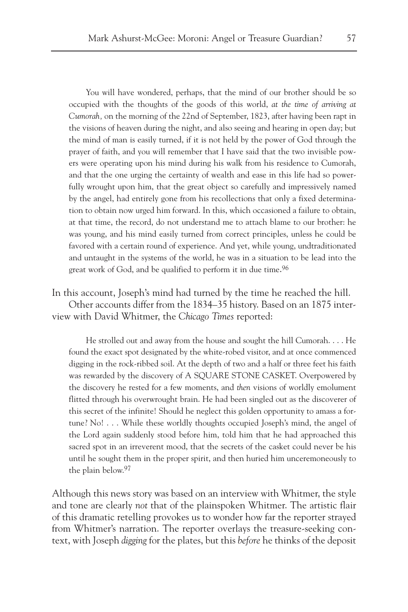You will have wondered, perhaps, that the mind of our brother should be so occupied with the thoughts of the goods of this world, *at the time of arriving at Cumorah,* on the morning of the 22nd of September, 1823, after having been rapt in the visions of heaven during the night, and also seeing and hearing in open day; but the mind of man is easily turned, if it is not held by the power of God through the prayer of faith, and you will remember that I have said that the two invisible powers were operating upon his mind during his walk from his residence to Cumorah, and that the one urging the certainty of wealth and ease in this life had so powerfully wrought upon him, that the great object so carefully and impressively named by the angel, had entirely gone from his recollections that only a fixed determination to obtain now urged him forward. In this, which occasioned a failure to obtain, at that time, the record, do not understand me to attach blame to our brother: he was young, and his mind easily turned from correct principles, unless he could be favored with a certain round of experience. And yet, while young, undtraditionated and untaught in the systems of the world, he was in a situation to be lead into the great work of God, and be qualified to perform it in due time.96

In this account, Joseph's mind had turned by the time he reached the hill. Other accounts differ from the 1834–35 history. Based on an 1875 interview with David Whitmer, the *Chicago Times* reported:

He strolled out and away from the house and sought the hill Cumorah. . . . He found the exact spot designated by the white-robed visitor, and at once commenced digging in the rock-ribbed soil. At the depth of two and a half or three feet his faith was rewarded by the discovery of A SQUARE STONE CASKET. Overpowered by the discovery he rested for a few moments, and *then* visions of worldly emolument flitted through his overwrought brain. He had been singled out as the discoverer of this secret of the infinite! Should he neglect this golden opportunity to amass a fortune? No! . . . While these worldly thoughts occupied Joseph's mind, the angel of the Lord again suddenly stood before him, told him that he had approached this sacred spot in an irreverent mood, that the secrets of the casket could never be his until he sought them in the proper spirit, and then huried him unceremoneously to the plain below.97

Although this news story was based on an interview with Whitmer, the style and tone are clearly *not* that of the plainspoken Whitmer. The artistic flair of this dramatic retelling provokes us to wonder how far the reporter strayed from Whitmer's narration. The reporter overlays the treasure-seeking context, with Joseph *digging* for the plates, but this *before* he thinks of the deposit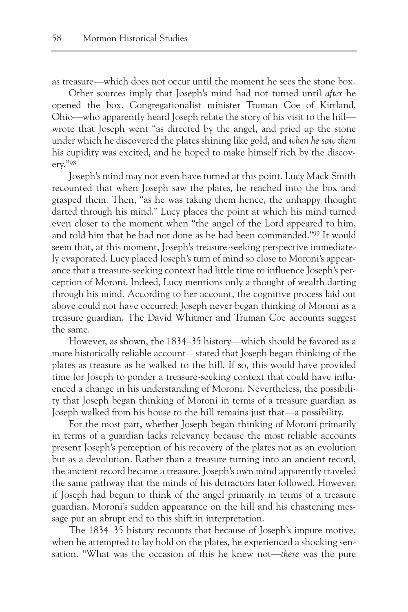as treasure—which does not occur until the moment he sees the stone box.

Other sources imply that Joseph's mind had not turned until *after* he opened the box. Congregationalist minister Truman Coe of Kirtland, Ohio—who apparently heard Joseph relate the story of his visit to the hill wrote that Joseph went "as directed by the angel, and pried up the stone under which he discovered the plates shining like gold, and *when he saw them* his cupidity was excited, and he hoped to make himself rich by the discovery."98

Joseph's mind may not even have turned at this point. Lucy Mack Smith recounted that when Joseph saw the plates, he reached into the box and grasped them. Then, "as he was taking them hence, the unhappy thought darted through his mind." Lucy places the point at which his mind turned even closer to the moment when "the angel of the Lord appeared to him, and told him that he had not done as he had been commanded."99 It would seem that, at this moment, Joseph's treasure-seeking perspective immediately evaporated. Lucy placed Joseph's turn of mind so close to Moroni's appearance that a treasure-seeking context had little time to influence Joseph's perception of Moroni. Indeed, Lucy mentions only a thought of wealth darting through his mind. According to her account, the cognitive process laid out above could not have occurred; Joseph never began thinking of Moroni as a treasure guardian. The David Whitmer and Truman Coe accounts suggest the same.

However, as shown, the 1834–35 history—which should be favored as a more historically reliable account—stated that Joseph began thinking of the plates as treasure as he walked to the hill. If so, this would have provided time for Joseph to ponder a treasure-seeking context that could have influenced a change in his understanding of Moroni. Nevertheless, the possibility that Joseph began thinking of Moroni in terms of a treasure guardian as Joseph walked from his house to the hill remains just that—a possibility.

For the most part, whether Joseph began thinking of Moroni primarily in terms of a guardian lacks relevancy because the most reliable accounts present Joseph's perception of his recovery of the plates not as an evolution but as a devolution. Rather than a treasure turning into an ancient record, the ancient record became a treasure. Joseph's own mind apparently traveled the same pathway that the minds of his detractors later followed. However, if Joseph had begun to think of the angel primarily in terms of a treasure guardian, Moroni's sudden appearance on the hill and his chastening message put an abrupt end to this shift in interpretation.

The 1834–35 history recounts that because of Joseph's impure motive, when he attempted to lay hold on the plates, he experienced a shocking sensation. "What was the occasion of this he knew not—*there* was the pure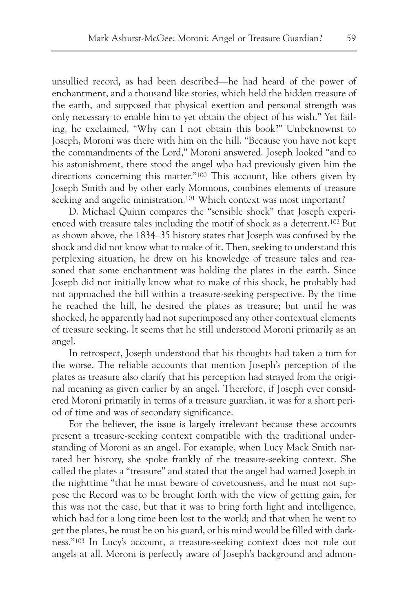unsullied record, as had been described—he had heard of the power of enchantment, and a thousand like stories, which held the hidden treasure of the earth, and supposed that physical exertion and personal strength was only necessary to enable him to yet obtain the object of his wish." Yet failing, he exclaimed, "Why can I not obtain this book?" Unbeknownst to Joseph, Moroni was there with him on the hill. "Because you have not kept the commandments of the Lord," Moroni answered. Joseph looked "and to his astonishment, there stood the angel who had previously given him the directions concerning this matter."100 This account, like others given by Joseph Smith and by other early Mormons, combines elements of treasure seeking and angelic ministration.<sup>101</sup> Which context was most important?

D. Michael Quinn compares the "sensible shock" that Joseph experienced with treasure tales including the motif of shock as a deterrent.102 But as shown above, the 1834–35 history states that Joseph was confused by the shock and did not know what to make of it. Then, seeking to understand this perplexing situation, he drew on his knowledge of treasure tales and reasoned that some enchantment was holding the plates in the earth. Since Joseph did not initially know what to make of this shock, he probably had not approached the hill within a treasure-seeking perspective. By the time he reached the hill, he desired the plates as treasure; but until he was shocked, he apparently had not superimposed any other contextual elements of treasure seeking. It seems that he still understood Moroni primarily as an angel.

In retrospect, Joseph understood that his thoughts had taken a turn for the worse. The reliable accounts that mention Joseph's perception of the plates as treasure also clarify that his perception had strayed from the original meaning as given earlier by an angel. Therefore, if Joseph ever considered Moroni primarily in terms of a treasure guardian, it was for a short period of time and was of secondary significance.

For the believer, the issue is largely irrelevant because these accounts present a treasure-seeking context compatible with the traditional understanding of Moroni as an angel. For example, when Lucy Mack Smith narrated her history, she spoke frankly of the treasure-seeking context. She called the plates a "treasure" and stated that the angel had warned Joseph in the nighttime "that he must beware of covetousness, and he must not suppose the Record was to be brought forth with the view of getting gain, for this was not the case, but that it was to bring forth light and intelligence, which had for a long time been lost to the world; and that when he went to get the plates, he must be on his guard, or his mind would be filled with darkness."103 In Lucy's account, a treasure-seeking context does not rule out angels at all. Moroni is perfectly aware of Joseph's background and admon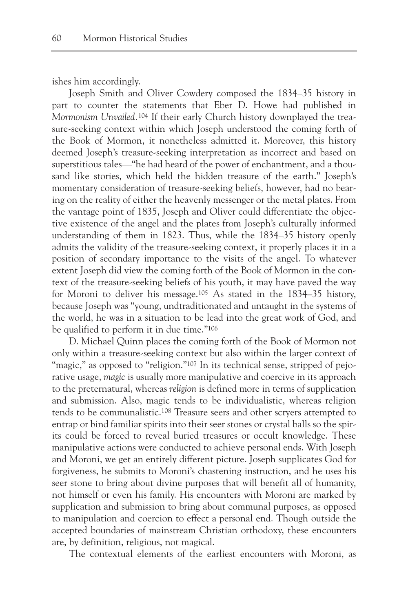ishes him accordingly.

Joseph Smith and Oliver Cowdery composed the 1834–35 history in part to counter the statements that Eber D. Howe had published in *Mormonism Unvailed.*<sup>104</sup> If their early Church history downplayed the treasure-seeking context within which Joseph understood the coming forth of the Book of Mormon, it nonetheless admitted it. Moreover, this history deemed Joseph's treasure-seeking interpretation as incorrect and based on superstitious tales—"he had heard of the power of enchantment, and a thousand like stories, which held the hidden treasure of the earth." Joseph's momentary consideration of treasure-seeking beliefs, however, had no bearing on the reality of either the heavenly messenger or the metal plates. From the vantage point of 1835, Joseph and Oliver could differentiate the objective existence of the angel and the plates from Joseph's culturally informed understanding of them in 1823. Thus, while the 1834–35 history openly admits the validity of the treasure-seeking context, it properly places it in a position of secondary importance to the visits of the angel. To whatever extent Joseph did view the coming forth of the Book of Mormon in the context of the treasure-seeking beliefs of his youth, it may have paved the way for Moroni to deliver his message.105 As stated in the 1834–35 history, because Joseph was "young, undtraditionated and untaught in the systems of the world, he was in a situation to be lead into the great work of God, and be qualified to perform it in due time."106

D. Michael Quinn places the coming forth of the Book of Mormon not only within a treasure-seeking context but also within the larger context of "magic," as opposed to "religion."<sup>107</sup> In its technical sense, stripped of pejorative usage, *magic* is usually more manipulative and coercive in its approach to the preternatural, whereas *religion* is defined more in terms of supplication and submission. Also, magic tends to be individualistic, whereas religion tends to be communalistic.108 Treasure seers and other scryers attempted to entrap or bind familiar spirits into their seer stones or crystal balls so the spirits could be forced to reveal buried treasures or occult knowledge. These manipulative actions were conducted to achieve personal ends. With Joseph and Moroni, we get an entirely different picture. Joseph supplicates God for forgiveness, he submits to Moroni's chastening instruction, and he uses his seer stone to bring about divine purposes that will benefit all of humanity, not himself or even his family. His encounters with Moroni are marked by supplication and submission to bring about communal purposes, as opposed to manipulation and coercion to effect a personal end. Though outside the accepted boundaries of mainstream Christian orthodoxy, these encounters are, by definition, religious, not magical.

The contextual elements of the earliest encounters with Moroni, as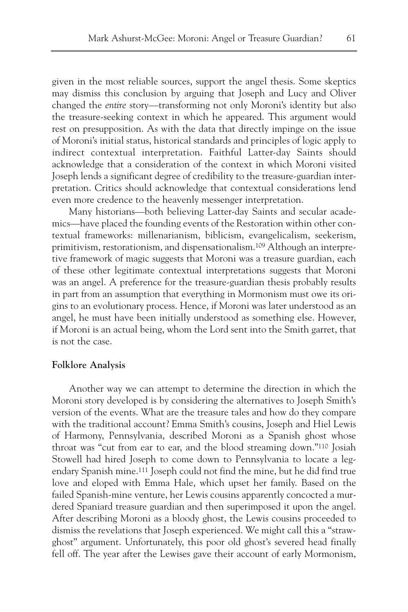given in the most reliable sources, support the angel thesis. Some skeptics may dismiss this conclusion by arguing that Joseph and Lucy and Oliver changed the *entire* story—transforming not only Moroni's identity but also the treasure-seeking context in which he appeared. This argument would rest on presupposition. As with the data that directly impinge on the issue of Moroni's initial status, historical standards and principles of logic apply to indirect contextual interpretation. Faithful Latter-day Saints should acknowledge that a consideration of the context in which Moroni visited Joseph lends a significant degree of credibility to the treasure-guardian interpretation. Critics should acknowledge that contextual considerations lend even more credence to the heavenly messenger interpretation.

Many historians—both believing Latter-day Saints and secular academics—have placed the founding events of the Restoration within other contextual frameworks: millenarianism, biblicism, evangelicalism, seekerism, primitivism, restorationism, and dispensationalism.109 Although an interpretive framework of magic suggests that Moroni was a treasure guardian, each of these other legitimate contextual interpretations suggests that Moroni was an angel. A preference for the treasure-guardian thesis probably results in part from an assumption that everything in Mormonism must owe its origins to an evolutionary process. Hence, if Moroni was later understood as an angel, he must have been initially understood as something else. However, if Moroni is an actual being, whom the Lord sent into the Smith garret, that is not the case.

#### **Folklore Analysis**

Another way we can attempt to determine the direction in which the Moroni story developed is by considering the alternatives to Joseph Smith's version of the events. What are the treasure tales and how do they compare with the traditional account? Emma Smith's cousins, Joseph and Hiel Lewis of Harmony, Pennsylvania, described Moroni as a Spanish ghost whose throat was "cut from ear to ear, and the blood streaming down."110 Josiah Stowell had hired Joseph to come down to Pennsylvania to locate a legendary Spanish mine.111 Joseph could not find the mine, but he did find true love and eloped with Emma Hale, which upset her family. Based on the failed Spanish-mine venture, her Lewis cousins apparently concocted a murdered Spaniard treasure guardian and then superimposed it upon the angel. After describing Moroni as a bloody ghost, the Lewis cousins proceeded to dismiss the revelations that Joseph experienced. We might call this a "strawghost" argument. Unfortunately, this poor old ghost's severed head finally fell off. The year after the Lewises gave their account of early Mormonism,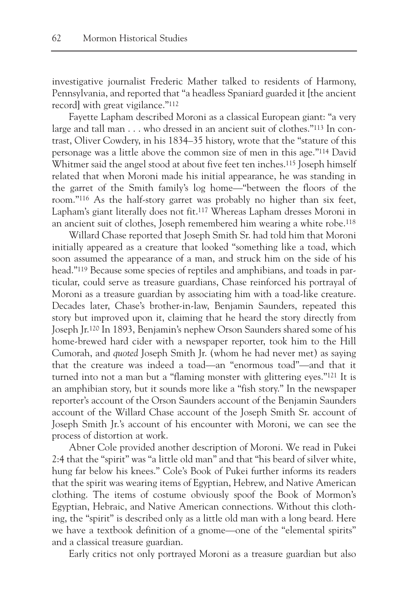investigative journalist Frederic Mather talked to residents of Harmony, Pennsylvania, and reported that "a headless Spaniard guarded it [the ancient record] with great vigilance."112

Fayette Lapham described Moroni as a classical European giant: "a very large and tall man . . . who dressed in an ancient suit of clothes."113 In contrast, Oliver Cowdery, in his 1834–35 history, wrote that the "stature of this personage was a little above the common size of men in this age."114 David Whitmer said the angel stood at about five feet ten inches.<sup>115</sup> Joseph himself related that when Moroni made his initial appearance, he was standing in the garret of the Smith family's log home—"between the floors of the room."116 As the half-story garret was probably no higher than six feet, Lapham's giant literally does not fit.117 Whereas Lapham dresses Moroni in an ancient suit of clothes, Joseph remembered him wearing a white robe.118

Willard Chase reported that Joseph Smith Sr. had told him that Moroni initially appeared as a creature that looked "something like a toad, which soon assumed the appearance of a man, and struck him on the side of his head."119 Because some species of reptiles and amphibians, and toads in particular, could serve as treasure guardians, Chase reinforced his portrayal of Moroni as a treasure guardian by associating him with a toad-like creature. Decades later, Chase's brother-in-law, Benjamin Saunders, repeated this story but improved upon it, claiming that he heard the story directly from Joseph Jr.120 In 1893, Benjamin's nephew Orson Saunders shared some of his home-brewed hard cider with a newspaper reporter, took him to the Hill Cumorah, and *quoted* Joseph Smith Jr. (whom he had never met) as saying that the creature was indeed a toad—an "enormous toad"—and that it turned into not a man but a "flaming monster with glittering eyes."121 It is an amphibian story, but it sounds more like a "fish story." In the newspaper reporter's account of the Orson Saunders account of the Benjamin Saunders account of the Willard Chase account of the Joseph Smith Sr. account of Joseph Smith Jr.'s account of his encounter with Moroni, we can see the process of distortion at work.

Abner Cole provided another description of Moroni. We read in Pukei 2:4 that the "spirit" was "a little old man" and that "his beard of silver white, hung far below his knees." Cole's Book of Pukei further informs its readers that the spirit was wearing items of Egyptian, Hebrew, and Native American clothing. The items of costume obviously spoof the Book of Mormon's Egyptian, Hebraic, and Native American connections. Without this clothing, the "spirit" is described only as a little old man with a long beard. Here we have a textbook definition of a gnome—one of the "elemental spirits" and a classical treasure guardian.

Early critics not only portrayed Moroni as a treasure guardian but also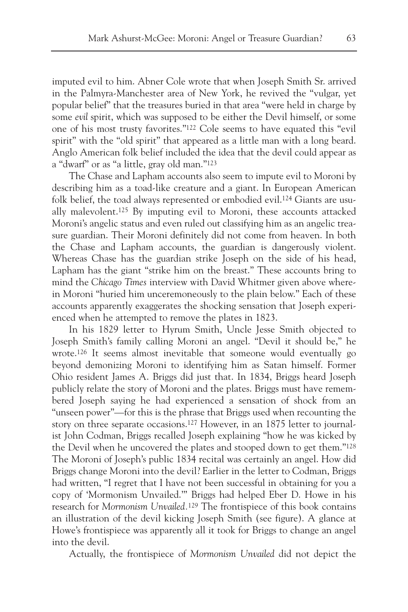imputed evil to him. Abner Cole wrote that when Joseph Smith Sr. arrived in the Palmyra-Manchester area of New York, he revived the "vulgar, yet popular belief" that the treasures buried in that area "were held in charge by some *evil* spirit, which was supposed to be either the Devil himself, or some one of his most trusty favorites."122 Cole seems to have equated this "evil spirit" with the "old spirit" that appeared as a little man with a long beard. Anglo American folk belief included the idea that the devil could appear as a "dwarf" or as "a little, gray old man."123

The Chase and Lapham accounts also seem to impute evil to Moroni by describing him as a toad-like creature and a giant. In European American folk belief, the toad always represented or embodied evil.124 Giants are usually malevolent.125 By imputing evil to Moroni, these accounts attacked Moroni's angelic status and even ruled out classifying him as an angelic treasure guardian. Their Moroni definitely did not come from heaven. In both the Chase and Lapham accounts, the guardian is dangerously violent. Whereas Chase has the guardian strike Joseph on the side of his head, Lapham has the giant "strike him on the breast." These accounts bring to mind the *Chicago Times* interview with David Whitmer given above wherein Moroni "huried him unceremoneously to the plain below." Each of these accounts apparently exaggerates the shocking sensation that Joseph experienced when he attempted to remove the plates in 1823.

In his 1829 letter to Hyrum Smith, Uncle Jesse Smith objected to Joseph Smith's family calling Moroni an angel. "Devil it should be," he wrote.126 It seems almost inevitable that someone would eventually go beyond demonizing Moroni to identifying him as Satan himself. Former Ohio resident James A. Briggs did just that. In 1834, Briggs heard Joseph publicly relate the story of Moroni and the plates. Briggs must have remembered Joseph saying he had experienced a sensation of shock from an "unseen power"—for this is the phrase that Briggs used when recounting the story on three separate occasions.127 However, in an 1875 letter to journalist John Codman, Briggs recalled Joseph explaining "how he was kicked by the Devil when he uncovered the plates and stooped down to get them."128 The Moroni of Joseph's public 1834 recital was certainly an angel. How did Briggs change Moroni into the devil? Earlier in the letter to Codman, Briggs had written, "I regret that I have not been successful in obtaining for you a copy of 'Mormonism Unvailed.'" Briggs had helped Eber D. Howe in his research for *Mormonism Unvailed.*<sup>129</sup> The frontispiece of this book contains an illustration of the devil kicking Joseph Smith (see figure). A glance at Howe's frontispiece was apparently all it took for Briggs to change an angel into the devil.

Actually, the frontispiece of *Mormonism Unvailed* did not depict the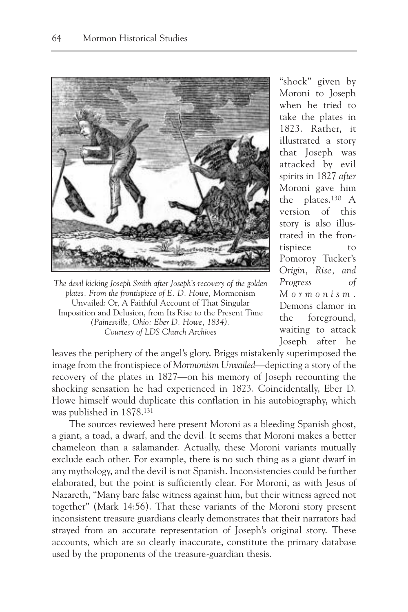

*The devil kicking Joseph Smith after Joseph's recovery of the golden plates. From the frontispiece of E. D. Howe,* Mormonism Unvailed: Or, A Faithful Account of That Singular Imposition and Delusion, from Its Rise to the Present Time *(Painesville, Ohio: Eber D. Howe, 1834). Courtesy of LDS Church Archives*

"shock" given by Moroni to Joseph when he tried to take the plates in 1823. Rather, it illustrated a story that Joseph was attacked by evil spirits in 1827 *after* Moroni gave him the plates.130 A version of this story is also illustrated in the frontispiece to Pomoroy Tucker's *Origin, Rise, and Progress of Mormonism.* Demons clamor in the foreground, waiting to attack Joseph after he

leaves the periphery of the angel's glory. Briggs mistakenly superimposed the image from the frontispiece of *Mormonism Unvailed*—depicting a story of the recovery of the plates in 1827—on his memory of Joseph recounting the shocking sensation he had experienced in 1823. Coincidentally, Eber D. Howe himself would duplicate this conflation in his autobiography, which was published in 1878.131

The sources reviewed here present Moroni as a bleeding Spanish ghost, a giant, a toad, a dwarf, and the devil. It seems that Moroni makes a better chameleon than a salamander. Actually, these Moroni variants mutually exclude each other. For example, there is no such thing as a giant dwarf in any mythology, and the devil is not Spanish. Inconsistencies could be further elaborated, but the point is sufficiently clear. For Moroni, as with Jesus of Nazareth, "Many bare false witness against him, but their witness agreed not together" (Mark 14:56). That these variants of the Moroni story present inconsistent treasure guardians clearly demonstrates that their narrators had strayed from an accurate representation of Joseph's original story. These accounts, which are so clearly inaccurate, constitute the primary database used by the proponents of the treasure-guardian thesis.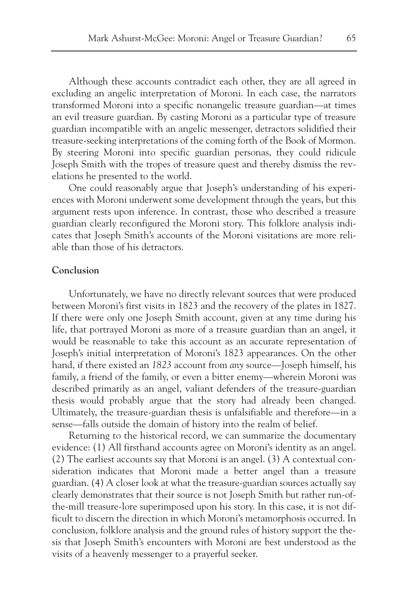Although these accounts contradict each other, they are all agreed in excluding an angelic interpretation of Moroni. In each case, the narrators transformed Moroni into a specific nonangelic treasure guardian—at times an evil treasure guardian. By casting Moroni as a particular type of treasure guardian incompatible with an angelic messenger, detractors solidified their treasure-seeking interpretations of the coming forth of the Book of Mormon. By steering Moroni into specific guardian personas, they could ridicule Joseph Smith with the tropes of treasure quest and thereby dismiss the revelations he presented to the world.

One could reasonably argue that Joseph's understanding of his experiences with Moroni underwent some development through the years, but this argument rests upon inference. In contrast, those who described a treasure guardian clearly reconfigured the Moroni story. This folklore analysis indicates that Joseph Smith's accounts of the Moroni visitations are more reliable than those of his detractors.

## **Conclusion**

Unfortunately, we have no directly relevant sources that were produced between Moroni's first visits in 1823 and the recovery of the plates in 1827. If there were only one Joseph Smith account, given at any time during his life, that portrayed Moroni as more of a treasure guardian than an angel, it would be reasonable to take this account as an accurate representation of Joseph's initial interpretation of Moroni's 1823 appearances. On the other hand, if there existed an *1823* account from *any* source—Joseph himself, his family, a friend of the family, or even a bitter enemy—wherein Moroni was described primarily as an angel, valiant defenders of the treasure-guardian thesis would probably argue that the story had already been changed. Ultimately, the treasure-guardian thesis is unfalsifiable and therefore—in a sense—falls outside the domain of history into the realm of belief.

Returning to the historical record, we can summarize the documentary evidence: (1) All firsthand accounts agree on Moroni's identity as an angel. (2) The earliest accounts say that Moroni is an angel. (3) A contextual consideration indicates that Moroni made a better angel than a treasure guardian. (4) A closer look at what the treasure-guardian sources actually say clearly demonstrates that their source is not Joseph Smith but rather run-ofthe-mill treasure-lore superimposed upon his story. In this case, it is not difficult to discern the direction in which Moroni's metamorphosis occurred. In conclusion, folklore analysis and the ground rules of history support the thesis that Joseph Smith's encounters with Moroni are best understood as the visits of a heavenly messenger to a prayerful seeker.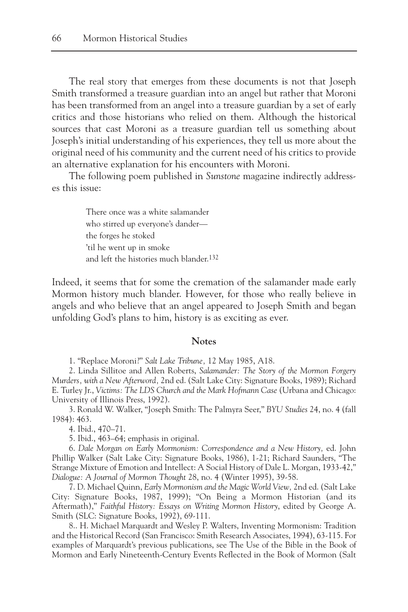The real story that emerges from these documents is not that Joseph Smith transformed a treasure guardian into an angel but rather that Moroni has been transformed from an angel into a treasure guardian by a set of early critics and those historians who relied on them. Although the historical sources that cast Moroni as a treasure guardian tell us something about Joseph's initial understanding of his experiences, they tell us more about the original need of his community and the current need of his critics to provide an alternative explanation for his encounters with Moroni.

The following poem published in *Sunstone* magazine indirectly addresses this issue:

> There once was a white salamander who stirred up everyone's dander the forges he stoked 'til he went up in smoke and left the histories much blander.132

Indeed, it seems that for some the cremation of the salamander made early Mormon history much blander. However, for those who really believe in angels and who believe that an angel appeared to Joseph Smith and began unfolding God's plans to him, history is as exciting as ever.

#### **Notes**

1. "Replace Moroni?" *Salt Lake Tribune,* 12 May 1985, A18.

2. Linda Sillitoe and Allen Roberts, *Salamander: The Story of the Mormon Forgery Murders, with a New Afterword,* 2nd ed. (Salt Lake City: Signature Books, 1989); Richard E. Turley Jr., *Victims: The LDS Church and the Mark Hofmann Case* (Urbana and Chicago: University of Illinois Press, 1992).

3. Ronald W. Walker, "Joseph Smith: The Palmyra Seer," *BYU Studies* 24, no. 4 (fall 1984): 463.

4. Ibid., 470–71.

5. Ibid., 463–64; emphasis in original.

6. *Dale Morgan on Early Mormonism: Correspondence and a New History,* ed. John Phillip Walker (Salt Lake City: Signature Books, 1986), 1-21; Richard Saunders, "The Strange Mixture of Emotion and Intellect: A Social History of Dale L. Morgan, 1933-42," *Dialogue: A Journal of Mormon Thought* 28, no. 4 (Winter 1995), 39-58.

7. D. Michael Quinn, *Early Mormonism and the Magic World View,* 2nd ed. (Salt Lake City: Signature Books, 1987, 1999); "On Being a Mormon Historian (and its Aftermath)," *Faithful History: Essays on Writing Mormon History*, edited by George A. Smith (SLC: Signature Books, 1992), 69-111.

8.. H. Michael Marquardt and Wesley P. Walters, Inventing Mormonism: Tradition and the Historical Record (San Francisco: Smith Research Associates, 1994), 63-115. For examples of Marquardt's previous publications, see The Use of the Bible in the Book of Mormon and Early Nineteenth-Century Events Reflected in the Book of Mormon (Salt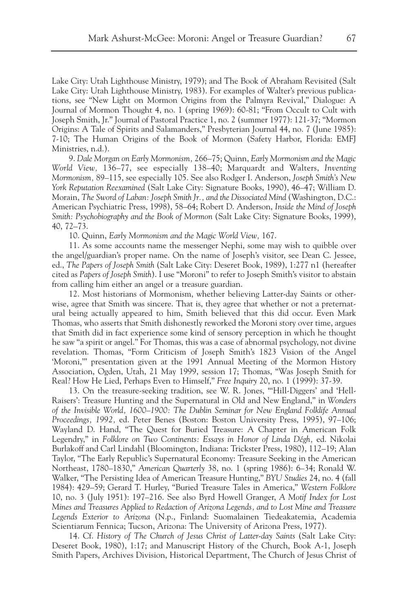Lake City: Utah Lighthouse Ministry, 1979); and The Book of Abraham Revisited (Salt Lake City: Utah Lighthouse Ministry, 1983). For examples of Walter's previous publications, see "New Light on Mormon Origins from the Palmyra Revival," Dialogue: A Journal of Mormon Thought 4, no. 1 (spring 1969): 60-81; "From Occult to Cult with Joseph Smith, Jr." Journal of Pastoral Practice 1, no. 2 (summer 1977): 121-37; "Mormon Origins: A Tale of Spirits and Salamanders," Presbyterian Journal 44, no. 7 (June 1985): 7-10; The Human Origins of the Book of Mormon (Safety Harbor, Florida: EMFJ Ministries, n.d.).

9. *Dale Morgan on Early Mormonism,* 266–75; Quinn, *Early Mormonism and the Magic World View,* 136–77, see especially 138–40; Marquardt and Walters, *Inventing Mormonism,* 89–115, see especially 105. See also Rodger I. Anderson, *Joseph Smith's New York Reputation Reexamined* (Salt Lake City: Signature Books, 1990), 46–47; William D. Morain, *The Sword of Laban: Joseph Smith Jr., and the Dissociated Mind* (Washington, D.C.: American Psychiatric Press, 1998), 58–64; Robert D. Anderson, *Inside the Mind of Joseph Smith: Psychobiography and the Book of Mormon* (Salt Lake City: Signature Books, 1999), 40, 72–73.

10. Quinn, *Early Mormonism and the Magic World View,* 167.

11. As some accounts name the messenger Nephi, some may wish to quibble over the angel/guardian's proper name. On the name of Joseph's visitor, see Dean C. Jessee, ed., *The Papers of Joseph Smith* (Salt Lake City: Deseret Book, 1989), 1:277 n1 (hereafter cited as *Papers of Joseph Smith*). I use "Moroni" to refer to Joseph Smith's visitor to abstain from calling him either an angel or a treasure guardian.

12. Most historians of Mormonism, whether believing Latter-day Saints or otherwise, agree that Smith was sincere. That is, they agree that whether or not a preternatural being actually appeared to him, Smith believed that this did occur. Even Mark Thomas, who asserts that Smith dishonestly reworked the Moroni story over time, argues that Smith did in fact experience some kind of sensory perception in which he thought he saw "a spirit or angel." For Thomas, this was a case of abnormal psychology, not divine revelation. Thomas, "Form Criticism of Joseph Smith's 1823 Vision of the Angel 'Moroni,'" presentation given at the 1991 Annual Meeting of the Mormon History Association, Ogden, Utah, 21 May 1999, session 17; Thomas, "Was Joseph Smith for Real? How He Lied, Perhaps Even to Himself," *Free Inquiry* 20, no. 1 (1999): 37-39.

13. On the treasure-seeking tradition, see W. R. Jones, "'Hill-Diggers' and 'Hell-Raisers': Treasure Hunting and the Supernatural in Old and New England," in *Wonders of the Invisible World, 1600–1900: The Dublin Seminar for New England Folklife Annual Proceedings, 1992,* ed. Peter Benes (Boston: Boston University Press, 1995), 97–106; Wayland D. Hand, "The Quest for Buried Treasure: A Chapter in American Folk Legendry," in *Folklore on Two Continents: Essays in Honor of Linda Dégh,* ed. Nikolai Burlakoff and Carl Lindahl (Bloomington, Indiana: Trickster Press, 1980), 112–19; Alan Taylor, "The Early Republic's Supernatural Economy: Treasure Seeking in the American Northeast, 1780–1830," *American Quarterly* 38, no. 1 (spring 1986): 6–34; Ronald W. Walker, "The Persisting Idea of American Treasure Hunting," *BYU Studies* 24, no. 4 (fall 1984): 429–59; Gerard T. Hurley, "Buried Treasure Tales in America," *Western Folklore* 10, no. 3 (July 1951): 197–216. See also Byrd Howell Granger, *A Motif Index for Lost Mines and Treasures Applied to Redaction of Arizona Legends, and to Lost Mine and Treasure Legends Exterior to Arizona* (N.p., Finland: Suomalainen Tiedeakatemia, Academia Scientiarum Fennica; Tucson, Arizona: The University of Arizona Press, 1977).

14. Cf. *History of The Church of Jesus Christ of Latter-day Saints* (Salt Lake City: Deseret Book, 1980), 1:17; and Manuscript History of the Church, Book A-1, Joseph Smith Papers, Archives Division, Historical Department, The Church of Jesus Christ of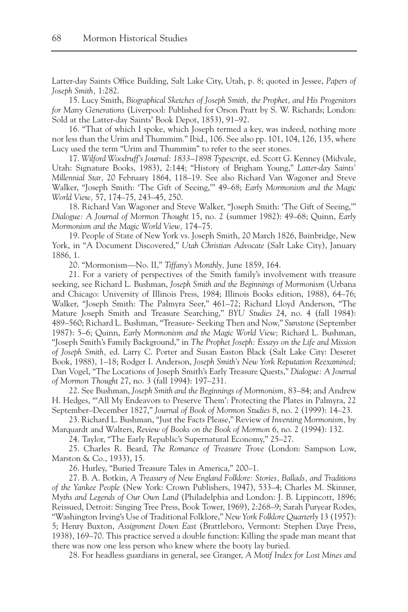Latter-day Saints Office Building, Salt Lake City, Utah, p. 8; quoted in Jessee, *Papers of Joseph Smith,* 1:282.

15. Lucy Smith, *Biographical Sketches of Joseph Smith, the Prophet, and His Progenitors for Many Generations* (Liverpool: Published for Orson Pratt by S. W. Richards; London: Sold at the Latter-day Saints' Book Depot, 1853), 91–92.

16. "That of which I spoke, which Joseph termed a key, was indeed, nothing more nor less than the Urim and Thummim." Ibid., 106. See also pp. 101, 104, 126, 135, where Lucy used the term "Urim and Thummim" to refer to the seer stones.

17. *Wilford Woodruff's Journal: 1833–1898 Typescript,* ed. Scott G. Kenney (Midvale, Utah: Signature Books, 1983), 2:144; "History of Brigham Young," *Latter-day Saints' Millennial Star,* 20 February 1864, 118–19. See also Richard Van Wagoner and Steve Walker, "Joseph Smith: 'The Gift of Seeing,'" 49–68; *Early Mormonism and the Magic World View,* 57, 174–75, 243–45, 250.

18. Richard Van Wagoner and Steve Walker, "Joseph Smith: 'The Gift of Seeing,'" *Dialogue: A Journal of Mormon Thought* 15, no. 2 (summer 1982): 49–68; Quinn, *Early Mormonism and the Magic World View,* 174–75.

19. People of State of New York vs. Joseph Smith, 20 March 1826, Bainbridge, New York, in "A Document Discovered," *Utah Christian Advocate* (Salt Lake City), January 1886, 1.

20. "Mormonism—No. II," *Tiffany's Monthly,* June 1859, 164.

21. For a variety of perspectives of the Smith family's involvement with treasure seeking, see Richard L. Bushman, *Joseph Smith and the Beginnings of Mormonism* (Urbana and Chicago: University of Illinois Press, 1984; Illinois Books edition, 1988), 64–76; Walker, "Joseph Smith: The Palmyra Seer," 461–72; Richard Lloyd Anderson, "The Mature Joseph Smith and Treasure Searching," *BYU Studies* 24, no. 4 (fall 1984): 489–560; Richard L. Bushman, "Treasure- Seeking Then and Now," *Sunstone* (September 1987): 5–6; Quinn, *Early Mormonism and the Magic World View;* Richard L. Bushman, "Joseph Smith's Family Background," in *The Prophet Joseph: Essays on the Life and Mission of Joseph Smith,* ed. Larry C. Porter and Susan Easton Black (Salt Lake City: Deseret Book, 1988), 1–18; Rodger I. Anderson, *Joseph Smith's New York Reputation Reexamined;* Dan Vogel, "The Locations of Joseph Smith's Early Treasure Quests," *Dialogue: A Journal of Mormon Thought* 27, no. 3 (fall 1994): 197–231.

22. See Bushman, *Joseph Smith and the Beginnings of Mormonism,* 83–84; and Andrew H. Hedges, "'All My Endeavors to Preserve Them': Protecting the Plates in Palmyra, 22 September–December 1827," *Journal of Book of Mormon Studies* 8, no. 2 (1999): 14–23.

23. Richard L. Bushman, "Just the Facts Please," Review of *Inventing Mormonism,* by Marquardt and Walters, *Review of Books on the Book of Mormon* 6, no. 2 (1994): 132.

24. Taylor, "The Early Republic's Supernatural Economy," 25–27.

25. Charles R. Beard, *The Romance of Treasure Trove* (London: Sampson Low, Marston & Co., 1933), 15.

26. Hurley, "Buried Treasure Tales in America," 200–1.

27. B. A. Botkin, *A Treasury of New England Folklore: Stories, Ballads, and Traditions of the Yankee People* (New York: Crown Publishers, 1947), 533–4; Charles M. Skinner, *Myths and Legends of Our Own Land* (Philadelphia and London: J. B. Lippincott, 1896; Reissued, Detroit: Singing Tree Press, Book Tower, 1969), 2:268–9; Sarah Puryear Rodes, "Washington Irving's Use of Traditional Folklore," *New York Folklore Quarterly* 13 (1957): 5; Henry Buxton, *Assignment Down East* (Brattleboro, Vermont: Stephen Daye Press, 1938), 169–70. This practice served a double function: Killing the spade man meant that there was now one less person who knew where the booty lay buried.

28. For headless guardians in general, see Granger, *A Motif Index for Lost Mines and*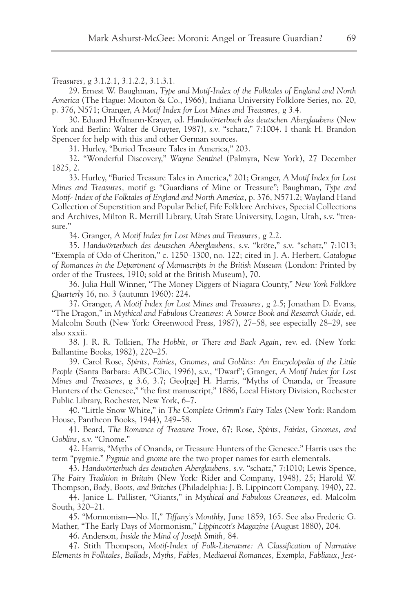*Treasures,* g 3.1.2.1, 3.1.2.2, 3.1.3.1.

29. Ernest W. Baughman, *Type and Motif-Index of the Folktales of England and North America* (The Hague: Mouton & Co., 1966), Indiana University Folklore Series, no. 20, p. 376, N571; Granger, *A Motif Index for Lost Mines and Treasures,* g 3.4.

30. Eduard Hoffmann-Krayer, ed. *Handwörterbuch des deutschen Aberglaubens* (New York and Berlin: Walter de Gruyter, 1987), s.v. "schatz," 7:1004. I thank H. Brandon Spencer for help with this and other German sources.

31. Hurley, "Buried Treasure Tales in America," 203.

32. "Wonderful Discovery," *Wayne Sentinel* (Palmyra, New York), 27 December 1825, 2.

33. Hurley, "Buried Treasure Tales in America," 201; Granger, *A Motif Index for Lost Mines and Treasures,* motif g: "Guardians of Mine or Treasure"; Baughman, *Type and Motif- Index of the Folktales of England and North America,* p. 376, N571.2; Wayland Hand Collection of Superstition and Popular Belief, Fife Folklore Archives, Special Collections and Archives, Milton R. Merrill Library, Utah State University, Logan, Utah, s.v. "treasure."

34. Granger, *A Motif Index for Lost Mines and Treasures,* g 2.2.

35. *Handwörterbuch des deutschen Aberglaubens,* s.v. "kröte," s.v. "schatz," 7:1013; "Exempla of Odo of Cheriton," c. 1250–1300, no. 122; cited in J. A. Herbert, *Catalogue of Romances in the Department of Manuscripts in the British Museum* (London: Printed by order of the Trustees, 1910; sold at the British Museum), 70.

36. Julia Hull Winner, "The Money Diggers of Niagara County," *New York Folklore Quarterly* 16, no. 3 (autumn 1960): 224.

37. Granger, *A Motif Index for Lost Mines and Treasures,* g 2.5; Jonathan D. Evans, "The Dragon," in *Mythical and Fabulous Creatures: A Source Book and Research Guide,* ed. Malcolm South (New York: Greenwood Press, 1987), 27–58, see especially 28–29, see also xxxii.

38. J. R. R. Tolkien, *The Hobbit, or There and Back Again,* rev. ed. (New York: Ballantine Books, 1982), 220–25.

39. Carol Rose, *Spirits, Fairies, Gnomes, and Goblins: An Encyclopedia of the Little People* (Santa Barbara: ABC-Clio, 1996), s.v., "Dwarf"; Granger, *A Motif Index for Lost Mines and Treasures,* g 3.6, 3.7; Geo[rge] H. Harris, "Myths of Onanda, or Treasure Hunters of the Genesee," "the first manuscript," 1886, Local History Division, Rochester Public Library, Rochester, New York, 6–7.

40. "Little Snow White," in *The Complete Grimm's Fairy Tales* (New York: Random House, Pantheon Books, 1944), 249–58.

41. Beard, *The Romance of Treasure Trove,* 67; Rose, *Spirits, Fairies, Gnomes, and Goblins,* s.v. "Gnome."

42. Harris, "Myths of Onanda, or Treasure Hunters of the Genesee." Harris uses the term "pygmie." *Pygmie* and *gnome* are the two proper names for earth elementals.

43. *Handwörterbuch des deutschen Aberglaubens,* s.v. "schatz," 7:1010; Lewis Spence, *The Fairy Tradition in Britain* (New York: Rider and Company, 1948), 25; Harold W.

Thompson, *Body, Boots, and Britches* (Philadelphia: J. B. Lippincott Company, 1940), 22. 44. Janice L. Pallister, "Giants," in *Mythical and Fabulous Creatures,* ed. Malcolm South, 320–21.

45. "Mormonism—No. II," *Tiffany's Monthly,* June 1859, 165. See also Frederic G. Mather, "The Early Days of Mormonism," *Lippincott's Magazine* (August 1880), 204.

46. Anderson, *Inside the Mind of Joseph Smith,* 84.

47. Stith Thompson, *Motif-Index of Folk-Literature: A Classification of Narrative Elements in Folktales, Ballads, Myths, Fables, Mediaeval Romances, Exempla, Fabliaux, Jest-*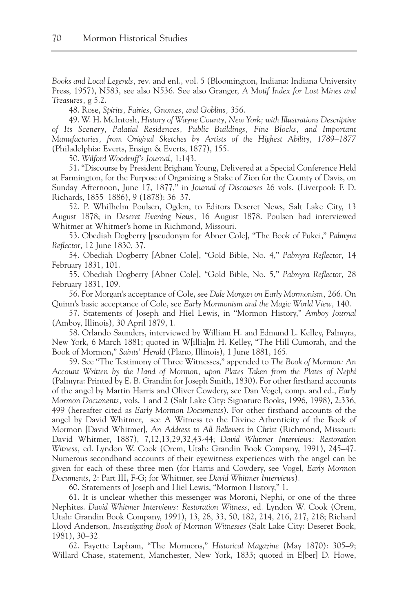*Books and Local Legends,* rev. and enl., vol. 5 (Bloomington, Indiana: Indiana University Press, 1957), N583, see also N536. See also Granger, *A Motif Index for Lost Mines and Treasures,* g 5.2.

48. Rose, *Spirits, Fairies, Gnomes, and Goblins,* 356.

49. W. H. McIntosh, *History of Wayne County, New York; with Illustrations Descriptive of Its Scenery, Palatial Residences, Public Buildings, Fine Blocks, and Important Manufactories, from Original Sketches by Artists of the Highest Ability, 1789–1877* (Philadelphia: Everts, Ensign & Everts, 1877), 155.

50. *Wilford Woodruff's Journal,* 1:143.

51. "Discourse by President Brigham Young, Delivered at a Special Conference Held at Farmington, for the Purpose of Organizing a Stake of Zion for the County of Davis, on Sunday Afternoon, June 17, 1877," in *Journal of Discourses* 26 vols. (Liverpool: F. D. Richards, 1855–1886), 9 (1878): 36–37.

52. P. Whilhelm Poulsen, Ogden, to Editors Deseret News, Salt Lake City, 13 August 1878; in *Deseret Evening News,* 16 August 1878. Poulsen had interviewed Whitmer at Whitmer's home in Richmond, Missouri.

53. Obediah Dogberry [pseudonym for Abner Cole], "The Book of Pukei," *Palmyra Reflector,* 12 June 1830, 37.

54. Obediah Dogberry [Abner Cole], "Gold Bible, No. 4," *Palmyra Reflector,* 14 February 1831, 101.

55. Obediah Dogberry [Abner Cole], "Gold Bible, No. 5," *Palmyra Reflector,* 28 February 1831, 109.

56. For Morgan's acceptance of Cole, see *Dale Morgan on Early Mormonism,* 266. On Quinn's basic acceptance of Cole, see *Early Mormonism and the Magic World View,* 140.

57. Statements of Joseph and Hiel Lewis, in "Mormon History," *Amboy Journal* (Amboy, Illinois), 30 April 1879, 1.

58. Orlando Saunders, interviewed by William H. and Edmund L. Kelley, Palmyra, New York, 6 March 1881; quoted in W[illia]m H. Kelley, "The Hill Cumorah, and the Book of Mormon," *Saints' Herald* (Plano, Illinois), 1 June 1881, 165.

59. See "The Testimony of Three Witnesses," appended to *The Book of Mormon: An Account Written by the Hand of Mormon, upon Plates Taken from the Plates of Nephi* (Palmyra: Printed by E. B. Grandin for Joseph Smith, 1830). For other firsthand accounts of the angel by Martin Harris and Oliver Cowdery, see Dan Vogel, comp. and ed., *Early Mormon Documents,* vols. 1 and 2 (Salt Lake City: Signature Books, 1996, 1998), 2:336, 499 (hereafter cited as *Early Mormon Documents*). For other firsthand accounts of the angel by David Whitmer, see A Witness to the Divine Athenticity of the Book of Mormon [David Whitmer], *An Address to All Believers in Christ* (Richmond, Missouri: David Whitmer, 1887), 7,12,13,29,32,43-44; *David Whitmer Interviews: Restoration Witness,* ed. Lyndon W. Cook (Orem, Utah: Grandin Book Company, 1991), 245–47. Numerous secondhand accounts of their eyewitness experiences with the angel can be given for each of these three men (for Harris and Cowdery, see Vogel, *Early Mormon Documents*, 2: Part III, F-G; for Whitmer, see *David Whitmer Interviews*).

60. Statements of Joseph and Hiel Lewis, "Mormon History," 1.

61. It is unclear whether this messenger was Moroni, Nephi, or one of the three Nephites. *David Whitmer Interviews: Restoration Witness,* ed. Lyndon W. Cook (Orem, Utah: Grandin Book Company, 1991), 13, 28, 33, 50, 182, 214, 216, 217, 218; Richard Lloyd Anderson, *Investigating Book of Mormon Witnesses* (Salt Lake City: Deseret Book, 1981), 30–32.

62. Fayette Lapham, "The Mormons," *Historical Magazine* (May 1870): 305–9; Willard Chase, statement, Manchester, New York, 1833; quoted in E[ber] D. Howe,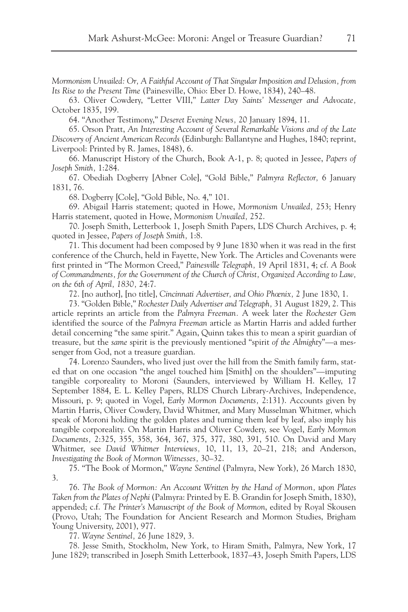*Mormonism Unvailed: Or, A Faithful Account of That Singular Imposition and Delusion, from Its Rise to the Present Time* (Painesville, Ohio: Eber D. Howe, 1834), 240–48.

63. Oliver Cowdery, "Letter VIII," *Latter Day Saints' Messenger and Advocate,* October 1835, 199.

64. "Another Testimony," *Deseret Evening News,* 20 January 1894, 11.

65. Orson Pratt, *An Interesting Account of Several Remarkable Visions and of the Late Discovery of Ancient American Records* (Edinburgh: Ballantyne and Hughes, 1840; reprint, Liverpool: Printed by R. James, 1848), 6.

66. Manuscript History of the Church, Book A-1, p. 8; quoted in Jessee, *Papers of Joseph Smith,* 1:284.

67. Obediah Dogberry [Abner Cole], "Gold Bible," *Palmyra Reflector,* 6 January 1831, 76.

68. Dogberry [Cole], "Gold Bible, No. 4," 101.

69. Abigail Harris statement; quoted in Howe, *Mormonism Unvailed,* 253; Henry Harris statement, quoted in Howe, *Mormonism Unvailed,* 252.

70. Joseph Smith, Letterbook 1, Joseph Smith Papers, LDS Church Archives, p. 4; quoted in Jessee, *Papers of Joseph Smith,* 1:8.

71. This document had been composed by 9 June 1830 when it was read in the first conference of the Church, held in Fayette, New York. The Articles and Covenants were first printed in "The Mormon Creed," *Painesville Telegraph,* 19 April 1831, 4; cf. *A Book of Commandments, for the Government of the Church of Christ, Organized According to Law, on the 6th of April, 1830,* 24:7.

72. [no author], [no title], *Cincinnati Advertiser, and Ohio Phœnix,* 2 June 1830, 1.

73. "Golden Bible," *Rochester Daily Advertiser and Telegraph,* 31 August 1829, 2. This article reprints an article from the *Palmyra Freeman.* A week later the *Rochester Gem* identified the source of the *Palmyra Freeman* article as Martin Harris and added further detail concerning "the same spirit." Again, Quinn takes this to mean a spirit guardian of treasure, but the *same* spirit is the previously mentioned "spirit *of the Almighty*"—a messenger from God, not a treasure guardian.

74. Lorenzo Saunders, who lived just over the hill from the Smith family farm, stated that on one occasion "the angel touched him [Smith] on the shoulders"—imputing tangible corporeality to Moroni (Saunders, interviewed by William H. Kelley, 17 September 1884, E. L. Kelley Papers, RLDS Church Library-Archives, Independence, Missouri, p. 9; quoted in Vogel, *Early Mormon Documents,* 2:131). Accounts given by Martin Harris, Oliver Cowdery, David Whitmer, and Mary Musselman Whitmer, which speak of Moroni holding the golden plates and turning them leaf by leaf, also imply his tangible corporeality. On Martin Harris and Oliver Cowdery, see Vogel, *Early Mormon Documents,* 2:325, 355, 358, 364, 367, 375, 377, 380, 391, 510. On David and Mary Whitmer, see *David Whitmer Interviews,* 10, 11, 13, 20–21, 218; and Anderson, *Investigating the Book of Mormon Witnesses,* 30–32.

75. "The Book of Mormon," *Wayne Sentinel* (Palmyra, New York), 26 March 1830, 3.

76. *The Book of Mormon: An Account Written by the Hand of Mormon, upon Plates Taken from the Plates of Nephi* (Palmyra: Printed by E. B. Grandin for Joseph Smith, 1830), appended; c.f. *The Printer's Manuscript of the Book of Mormon*, edited by Royal Skousen (Provo, Utah; The Foundation for Ancient Research and Mormon Studies, Brigham Young University, 2001), 977.

77. *Wayne Sentinel,* 26 June 1829, 3.

78. Jesse Smith, Stockholm, New York, to Hiram Smith, Palmyra, New York, 17 June 1829; transcribed in Joseph Smith Letterbook, 1837–43, Joseph Smith Papers, LDS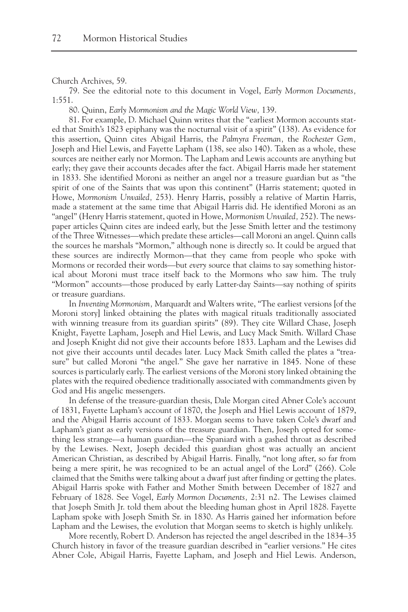Church Archives, 59.

79. See the editorial note to this document in Vogel, *Early Mormon Documents,* 1:551.

80. Quinn, *Early Mormonism and the Magic World View,* 139.

81. For example, D. Michael Quinn writes that the "earliest Mormon accounts stated that Smith's 1823 epiphany was the nocturnal visit of a spirit" (138). As evidence for this assertion, Quinn cites Abigail Harris, the *Palmyra Freeman,* the *Rochester Gem,* Joseph and Hiel Lewis, and Fayette Lapham (138, see also 140). Taken as a whole, these sources are neither early nor Mormon. The Lapham and Lewis accounts are anything but early; they gave their accounts decades after the fact. Abigail Harris made her statement in 1833. She identified Moroni as neither an angel nor a treasure guardian but as "the spirit of one of the Saints that was upon this continent" (Harris statement; quoted in Howe, *Mormonism Unvailed,* 253). Henry Harris, possibly a relative of Martin Harris, made a statement at the same time that Abigail Harris did. He identified Moroni as an "angel" (Henry Harris statement, quoted in Howe, *Mormonism Unvailed,* 252). The newspaper articles Quinn cites are indeed early, but the Jesse Smith letter and the testimony of the Three Witnesses—which predate these articles—call Moroni an angel. Quinn calls the sources he marshals "Mormon," although none is directly so. It could be argued that these sources are indirectly Mormon—that they came from people who spoke with Mormons or recorded their words—but *every* source that claims to say something historical about Moroni must trace itself back to the Mormons who saw him. The truly "Mormon" accounts—those produced by early Latter-day Saints—say nothing of spirits or treasure guardians.

In *Inventing Mormonism,* Marquardt and Walters write, "The earliest versions [of the Moroni story] linked obtaining the plates with magical rituals traditionally associated with winning treasure from its guardian spirits" (89). They cite Willard Chase, Joseph Knight, Fayette Lapham, Joseph and Hiel Lewis, and Lucy Mack Smith. Willard Chase and Joseph Knight did not give their accounts before 1833. Lapham and the Lewises did not give their accounts until decades later. Lucy Mack Smith called the plates a "treasure" but called Moroni "the angel." She gave her narrative in 1845. None of these sources is particularly early. The earliest versions of the Moroni story linked obtaining the plates with the required obedience traditionally associated with commandments given by God and His angelic messengers.

In defense of the treasure-guardian thesis, Dale Morgan cited Abner Cole's account of 1831, Fayette Lapham's account of 1870, the Joseph and Hiel Lewis account of 1879, and the Abigail Harris account of 1833. Morgan seems to have taken Cole's dwarf and Lapham's giant as early versions of the treasure guardian. Then, Joseph opted for something less strange—a human guardian—the Spaniard with a gashed throat as described by the Lewises. Next, Joseph decided this guardian ghost was actually an ancient American Christian, as described by Abigail Harris. Finally, "not long after, so far from being a mere spirit, he was recognized to be an actual angel of the Lord" (266). Cole claimed that the Smiths were talking about a dwarf just after finding or getting the plates. Abigail Harris spoke with Father and Mother Smith between December of 1827 and February of 1828. See Vogel, *Early Mormon Documents,* 2:31 n2. The Lewises claimed that Joseph Smith Jr. told them about the bleeding human ghost in April 1828. Fayette Lapham spoke with Joseph Smith Sr. in 1830. As Harris gained her information before Lapham and the Lewises, the evolution that Morgan seems to sketch is highly unlikely.

More recently, Robert D. Anderson has rejected the angel described in the 1834–35 Church history in favor of the treasure guardian described in "earlier versions." He cites Abner Cole, Abigail Harris, Fayette Lapham, and Joseph and Hiel Lewis. Anderson,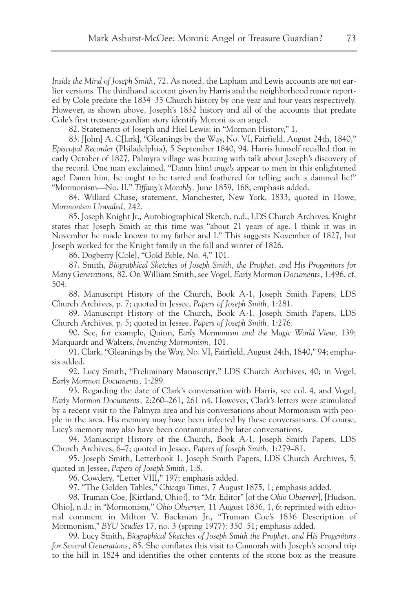*Inside the Mind of Joseph Smith,* 72. As noted, the Lapham and Lewis accounts are *not* earlier versions. The thirdhand account given by Harris and the neighborhood rumor reported by Cole predate the 1834–35 Church history by one year and four years respectively. However, as shown above, Joseph's 1832 history and all of the accounts that predate Cole's first treasure-guardian story identify Moroni as an angel.

82. Statements of Joseph and Hiel Lewis; in "Mormon History," 1.

83. J[ohn] A. C[lark], "Gleanings by the Way, No. VI, Fairfield, August 24th, 1840," *Episcopal Recorder* (Philadelphia), 5 September 1840, 94. Harris himself recalled that in early October of 1827, Palmyra village was buzzing with talk about Joseph's discovery of the record. One man exclaimed, "Damn him! *angels* appear to men in this enlightened age! Damn him, he ought to be tarred and feathered for telling such a damned lie!" "Mormonism—No. II," *Tiffany's Monthly,* June 1859, 168; emphasis added.

84. Willard Chase, statement, Manchester, New York, 1833; quoted in Howe, *Mormonism Unvailed,* 242.

85. Joseph Knight Jr., Autobiographical Sketch, n.d., LDS Church Archives. Knight states that Joseph Smith at this time was "about 21 years of age. I think it was in November he made known to my father and I." This suggests November of 1827, but Joseph worked for the Knight family in the fall and winter of 1826.

86. Dogberry [Cole], "Gold Bible, No. 4," 101.

87. Smith, *Biographical Sketches of Joseph Smith, the Prophet, and His Progenitors for Many Generations,* 82. On William Smith, see Vogel, *Early Mormon Documents,* 1:496, cf. 504.

88. Manuscript History of the Church, Book A-1, Joseph Smith Papers, LDS Church Archives, p. 7; quoted in Jessee, *Papers of Joseph Smith,* 1:281.

89. Manuscript History of the Church, Book A-1, Joseph Smith Papers, LDS Church Archives, p. 5; quoted in Jessee, *Papers of Joseph Smith,* 1:276.

90. See, for example, Quinn, *Early Mormonism and the Magic World View,* 139; Marquardt and Walters, *Inventing Mormonism,* 101.

91. Clark, "Gleanings by the Way, No. VI, Fairfield, August 24th, 1840," 94; emphasis added.

92. Lucy Smith, "Preliminary Manuscript," LDS Church Archives, 40; in Vogel, *Early Mormon Documents,* 1:289.

93. Regarding the date of Clark's conversation with Harris, see col. 4, and Vogel, *Early Mormon Documents,* 2:260–261, 261 n4. However, Clark's letters were stimulated by a recent visit to the Palmyra area and his conversations about Mormonism with people in the area. His memory may have been infected by these conversations. Of course, Lucy's memory may also have been contaminated by later conversations.

94. Manuscript History of the Church, Book A-1, Joseph Smith Papers, LDS Church Archives, 6–7; quoted in Jessee, *Papers of Joseph Smith,* 1:279–81.

95. Joseph Smith, Letterbook 1, Joseph Smith Papers, LDS Church Archives, 5; quoted in Jessee, *Papers of Joseph Smith,* 1:8.

96. Cowdery, "Letter VIII," 197; emphasis added.

97. "The Golden Tables," *Chicago Times,* 7 August 1875, 1; emphasis added.

98. Truman Coe, [Kirtland, Ohio?], to "Mr. Editor" [of the *Ohio Observer*], [Hudson, Ohio], n.d.; in "Mormonism," *Ohio Observer,* 11 August 1836, 1, 6; reprinted with editorial comment in Milton V. Backman Jr., "Truman Coe's 1836 Description of Mormonism," *BYU Studies* 17, no. 3 (spring 1977): 350–51; emphasis added.

99. Lucy Smith, *Biographical Sketches of Joseph Smith the Prophet, and His Progenitors for Several Generations,* 85. She conflates this visit to Cumorah with Joseph's second trip to the hill in 1824 and identifies the other contents of the stone box as the treasure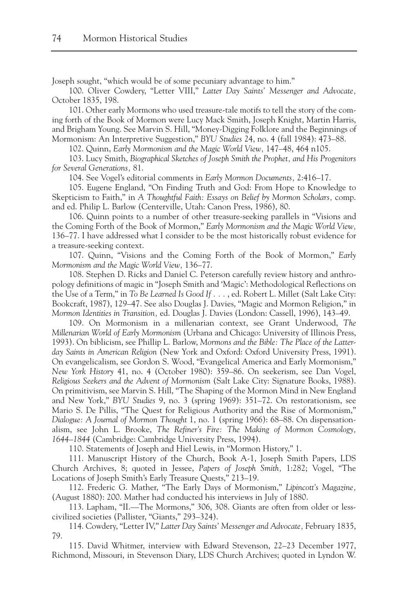Joseph sought, "which would be of some pecuniary advantage to him."

100. Oliver Cowdery, "Letter VIII," *Latter Day Saints' Messenger and Advocate,* October 1835, 198.

101. Other early Mormons who used treasure-tale motifs to tell the story of the coming forth of the Book of Mormon were Lucy Mack Smith, Joseph Knight, Martin Harris, and Brigham Young. See Marvin S. Hill, "Money-Digging Folklore and the Beginnings of Mormonism: An Interpretive Suggestion," *BYU Studies* 24, no. 4 (fall 1984): 473–88.

102. Quinn, *Early Mormonism and the Magic World View,* 147–48, 464 n105.

103. Lucy Smith, *Biographical Sketches of Joseph Smith the Prophet, and His Progenitors for Several Generations,* 81.

104. See Vogel's editorial comments in *Early Mormon Documents,* 2:416–17.

105. Eugene England, "On Finding Truth and God: From Hope to Knowledge to Skepticism to Faith," in *A Thoughtful Faith: Essays on Belief by Mormon Scholars,* comp. and ed. Philip L. Barlow (Centerville, Utah: Canon Press, 1986), 80.

106. Quinn points to a number of other treasure-seeking parallels in "Visions and the Coming Forth of the Book of Mormon," *Early Mormonism and the Magic World View,* 136–77. I have addressed what I consider to be the most historically robust evidence for a treasure-seeking context.

107. Quinn, "Visions and the Coming Forth of the Book of Mormon," *Early Mormonism and the Magic World View,* 136–77.

108. Stephen D. Ricks and Daniel C. Peterson carefully review history and anthropology definitions of magic in "Joseph Smith and 'Magic': Methodological Reflections on the Use of a Term," in *To Be Learned Is Good If . . .* , ed. Robert L. Millet (Salt Lake City: Bookcraft, 1987), 129–47. See also Douglas J. Davies, "Magic and Mormon Religion," in *Mormon Identities in Transition,* ed. Douglas J. Davies (London: Cassell, 1996), 143–49.

109. On Mormonism in a millenarian context, see Grant Underwood, *The Millenarian World of Early Mormonism* (Urbana and Chicago: University of Illinois Press, 1993). On biblicism, see Phillip L. Barlow, *Mormons and the Bible: The Place of the Latterday Saints in American Religion* (New York and Oxford: Oxford University Press, 1991). On evangelicalism, see Gordon S. Wood, "Evangelical America and Early Mormonism," *New York History* 41, no. 4 (October 1980): 359–86. On seekerism, see Dan Vogel, *Religious Seekers and the Advent of Mormonism* (Salt Lake City: Signature Books, 1988). On primitivism, see Marvin S. Hill, "The Shaping of the Mormon Mind in New England and New York," *BYU Studies* 9, no. 3 (spring 1969): 351–72. On restorationism, see Mario S. De Pillis, "The Quest for Religious Authority and the Rise of Mormonism," *Dialogue: A Journal of Mormon Thought* 1, no. 1 (spring 1966): 68–88. On dispensationalism, see John L. Brooke, *The Refiner's Fire: The Making of Mormon Cosmology, 1644–1844* (Cambridge: Cambridge University Press, 1994).

110. Statements of Joseph and Hiel Lewis, in "Mormon History," 1.

111. Manuscript History of the Church, Book A-1, Joseph Smith Papers, LDS Church Archives, 8; quoted in Jessee, *Papers of Joseph Smith,* 1:282; Vogel, "The Locations of Joseph Smith's Early Treasure Quests," 213–19.

112. Frederic G. Mather, "The Early Days of Mormonism," *Lipincott's Magazine,* (August 1880): 200. Mather had conducted his interviews in July of 1880.

113. Lapham, "II.—The Mormons," 306, 308. Giants are often from older or lesscivilized societies (Pallister, "Giants," 293–324).

114. Cowdery, "Letter IV," *Latter Day Saints' Messenger and Advocate,* February 1835, 79.

115. David Whitmer, interview with Edward Stevenson, 22–23 December 1977, Richmond, Missouri, in Stevenson Diary, LDS Church Archives; quoted in Lyndon W.